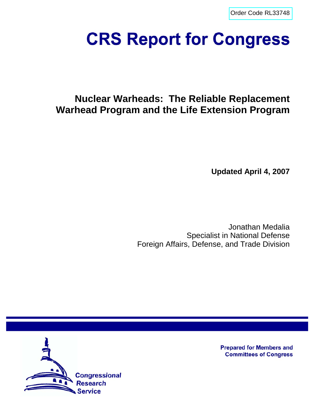[Order Code RL33748](http://www.fas.org/sgp/crs/nuke/index.html)

# **CRS Report for Congress**

# **Nuclear Warheads: The Reliable Replacement Warhead Program and the Life Extension Program**

**Updated April 4, 2007**

Jonathan Medalia Specialist in National Defense Foreign Affairs, Defense, and Trade Division



**Prepared for Members and Committees of Congress**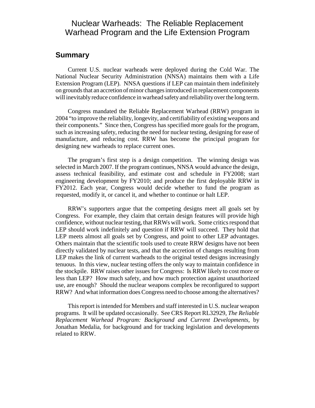# Nuclear Warheads: The Reliable Replacement Warhead Program and the Life Extension Program

# **Summary**

Current U.S. nuclear warheads were deployed during the Cold War. The National Nuclear Security Administration (NNSA) maintains them with a Life Extension Program (LEP). NNSA questions if LEP can maintain them indefinitely on grounds that an accretion of minor changes introduced in replacement components will inevitably reduce confidence in warhead safety and reliability over the long term.

Congress mandated the Reliable Replacement Warhead (RRW) program in 2004 "to improve the reliability, longevity, and certifiability of existing weapons and their components." Since then, Congress has specified more goals for the program, such as increasing safety, reducing the need for nuclear testing, designing for ease of manufacture, and reducing cost. RRW has become the principal program for designing new warheads to replace current ones.

The program's first step is a design competition. The winning design was selected in March 2007. If the program continues, NNSA would advance the design, assess technical feasibility, and estimate cost and schedule in FY2008; start engineering development by FY2010; and produce the first deployable RRW in FY2012. Each year, Congress would decide whether to fund the program as requested, modify it, or cancel it, and whether to continue or halt LEP.

RRW's supporters argue that the competing designs meet all goals set by Congress. For example, they claim that certain design features will provide high confidence, without nuclear testing, that RRWs will work. Some critics respond that LEP should work indefinitely and question if RRW will succeed. They hold that LEP meets almost all goals set by Congress, and point to other LEP advantages. Others maintain that the scientific tools used to create RRW designs have not been directly validated by nuclear tests, and that the accretion of changes resulting from LEP makes the link of current warheads to the original tested designs increasingly tenuous. In this view, nuclear testing offers the only way to maintain confidence in the stockpile. RRW raises other issues for Congress: Is RRW likely to cost more or less than LEP? How much safety, and how much protection against unauthorized use, are enough? Should the nuclear weapons complex be reconfigured to support RRW? And what information does Congress need to choose among the alternatives?

This report is intended for Members and staff interested in U.S. nuclear weapon programs. It will be updated occasionally. See CRS Report RL32929, *The Reliable Replacement Warhead Program: Background and Current Developments,* by Jonathan Medalia, for background and for tracking legislation and developments related to RRW.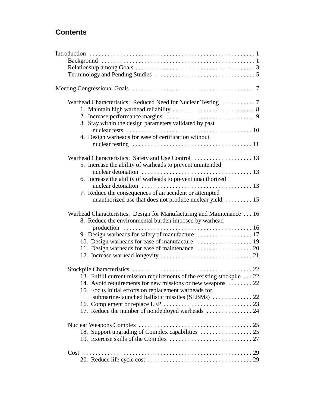# **Contents**

| 3. Stay within the design parameters validated by past                                                     |
|------------------------------------------------------------------------------------------------------------|
|                                                                                                            |
| 4. Design warheads for ease of certification without                                                       |
|                                                                                                            |
|                                                                                                            |
|                                                                                                            |
| 5. Increase the ability of warheads to prevent unintended                                                  |
|                                                                                                            |
| 6. Increase the ability of warheads to prevent unauthorized                                                |
|                                                                                                            |
| 7. Reduce the consequences of an accident or attempted                                                     |
| unauthorized use that does not produce nuclear yield $\dots \dots \dots 15$                                |
|                                                                                                            |
| Warhead Characteristics: Design for Manufacturing and Maintenance 16                                       |
| 8. Reduce the environmental burden imposed by warhead                                                      |
| production $\ldots \ldots \ldots \ldots \ldots \ldots \ldots \ldots \ldots \ldots \ldots \ldots \ldots 16$ |
|                                                                                                            |
|                                                                                                            |
|                                                                                                            |
|                                                                                                            |
|                                                                                                            |
|                                                                                                            |
| 13. Fulfill current mission requirements of the existing stockpile  22                                     |
|                                                                                                            |
| 14. Avoid requirements for new missions or new weapons  22                                                 |
| 15. Focus initial efforts on replacement warheads for                                                      |
| submarine-launched ballistic missiles (SLBMs)  22                                                          |
|                                                                                                            |
|                                                                                                            |
|                                                                                                            |
|                                                                                                            |
| 18. Support upgrading of Complex capabilities  25                                                          |
|                                                                                                            |
|                                                                                                            |
|                                                                                                            |
|                                                                                                            |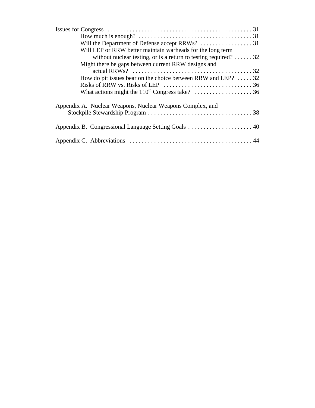| Will LEP or RRW better maintain warheads for the long term                |
|---------------------------------------------------------------------------|
| without nuclear testing, or is a return to testing required? $\dots$ . 32 |
| Might there be gaps between current RRW designs and                       |
|                                                                           |
| How do pit issues bear on the choice between RRW and LEP? $\dots$ 32      |
|                                                                           |
| What actions might the $110^{th}$ Congress take? 36                       |
| Appendix A. Nuclear Weapons, Nuclear Weapons Complex, and                 |
|                                                                           |
|                                                                           |
|                                                                           |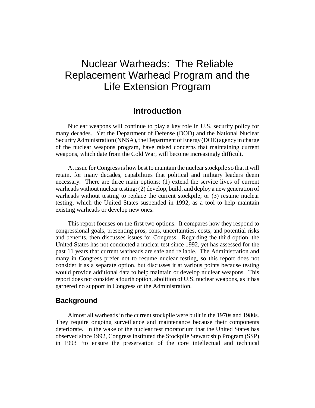# Nuclear Warheads: The Reliable Replacement Warhead Program and the Life Extension Program

# **Introduction**

Nuclear weapons will continue to play a key role in U.S. security policy for many decades. Yet the Department of Defense (DOD) and the National Nuclear Security Administration (NNSA), the Department of Energy (DOE) agency in charge of the nuclear weapons program, have raised concerns that maintaining current weapons, which date from the Cold War, will become increasingly difficult.

At issue for Congress is how best to maintain the nuclear stockpile so that it will retain, for many decades, capabilities that political and military leaders deem necessary. There are three main options: (1) extend the service lives of current warheads without nuclear testing; (2) develop, build, and deploy a new generation of warheads without testing to replace the current stockpile; or  $(3)$  resume nuclear testing, which the United States suspended in 1992, as a tool to help maintain existing warheads or develop new ones.

This report focuses on the first two options. It compares how they respond to congressional goals, presenting pros, cons, uncertainties, costs, and potential risks and benefits, then discusses issues for Congress. Regarding the third option, the United States has not conducted a nuclear test since 1992, yet has assessed for the past 11 years that current warheads are safe and reliable. The Administration and many in Congress prefer not to resume nuclear testing, so this report does not consider it as a separate option, but discusses it at various points because testing would provide additional data to help maintain or develop nuclear weapons. This report does not consider a fourth option, abolition of U.S. nuclear weapons, as it has garnered no support in Congress or the Administration.

#### **Background**

Almost all warheads in the current stockpile were built in the 1970s and 1980s. They require ongoing surveillance and maintenance because their components deteriorate. In the wake of the nuclear test moratorium that the United States has observed since 1992, Congress instituted the Stockpile Stewardship Program (SSP) in 1993 "to ensure the preservation of the core intellectual and technical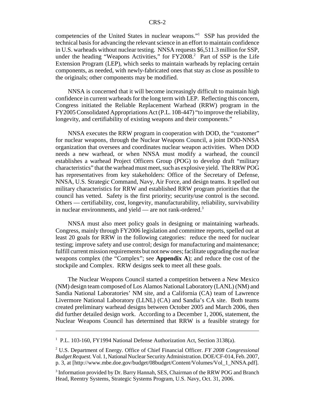competencies of the United States in nuclear weapons."1 SSP has provided the technical basis for advancing the relevant science in an effort to maintain confidence in U.S. warheads without nuclear testing. NNSA requests \$6,511.3 million for SSP, under the heading "Weapons Activities," for FY2008.<sup>2</sup> Part of SSP is the Life Extension Program (LEP), which seeks to maintain warheads by replacing certain components, as needed, with newly-fabricated ones that stay as close as possible to the originals; other components may be modified.

NNSA is concerned that it will become increasingly difficult to maintain high confidence in current warheads for the long term with LEP. Reflecting this concern, Congress initiated the Reliable Replacement Warhead (RRW) program in the FY2005 Consolidated Appropriations Act (P.L. 108-447) "to improve the reliability, longevity, and certifiability of existing weapons and their components."

NNSA executes the RRW program in cooperation with DOD, the "customer" for nuclear weapons, through the Nuclear Weapons Council, a joint DOD-NNSA organization that oversees and coordinates nuclear weapon activities. When DOD needs a new warhead, or when NNSA must modify a warhead, the council establishes a warhead Project Officers Group (POG) to develop draft "military characteristics" that the warhead must meet, such as explosive yield. The RRW POG has representatives from key stakeholders: Office of the Secretary of Defense, NNSA, U.S. Strategic Command, Navy, Air Force, and design teams. It spelled out military characteristics for RRW and established RRW program priorities that the council has vetted. Safety is the first priority; security/use control is the second. Others — certifiability, cost, longevity, manufacturability, reliability, survivability in nuclear environments, and yield — are not rank-ordered.<sup>3</sup>

NNSA must also meet policy goals in designing or maintaining warheads. Congress, mainly through FY2006 legislation and committee reports, spelled out at least 20 goals for RRW in the following categories: reduce the need for nuclear testing; improve safety and use control; design for manufacturing and maintenance; fulfill current mission requirements but not new ones; facilitate upgrading the nuclear weapons complex (the "Complex"; see **Appendix A**); and reduce the cost of the stockpile and Complex. RRW designs seek to meet all these goals.

The Nuclear Weapons Council started a competition between a New Mexico (NM) design team composed of Los Alamos National Laboratory (LANL) (NM) and Sandia National Laboratories' NM site, and a California (CA) team of Lawrence Livermore National Laboratory (LLNL) (CA) and Sandia's CA site. Both teams created preliminary warhead designs between October 2005 and March 2006, then did further detailed design work. According to a December 1, 2006, statement, the Nuclear Weapons Council has determined that RRW is a feasible strategy for

<sup>&</sup>lt;sup>1</sup> P.L. 103-160, FY1994 National Defense Authorization Act, Section 3138(a).

<sup>2</sup> U.S. Department of Energy. Office of Chief Financial Officer. *FY 2008 Congressional Budget Request.* Vol. 1, National Nuclear Security Administration. DOE/CF-014, Feb. 2007, p. 3, at [http://www.mbe.doe.gov/budget/08budget/Content/Volumes/Vol\_1\_NNSA.pdf].

<sup>&</sup>lt;sup>3</sup> Information provided by Dr. Barry Hannah, SES, Chairman of the RRW POG and Branch Head, Reentry Systems, Strategic Systems Program, U.S. Navy, Oct. 31, 2006.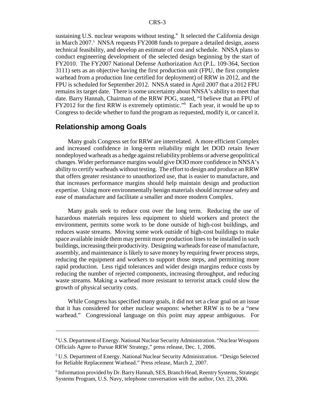sustaining U.S. nuclear weapons without testing.<sup>4</sup> It selected the California design in March 2007.<sup>5</sup> NNSA requests FY2008 funds to prepare a detailed design, assess technical feasibility, and develop an estimate of cost and schedule. NNSA plans to conduct engineering development of the selected design beginning by the start of FY2010. The FY2007 National Defense Authorization Act (P.L. 109-364, Section 3111) sets as an objective having the first production unit (FPU, the first complete warhead from a production line certified for deployment) of RRW in 2012, and the FPU is scheduled for September 2012. NNSA stated in April 2007 that a 2012 FPU remains its target date. There is some uncertainty about NNSA's ability to meet that date. Barry Hannah, Chairman of the RRW POG, stated, "I believe that an FPU of FY2012 for the first RRW is extremely optimistic."<sup>6</sup> Each year, it would be up to Congress to decide whether to fund the program as requested, modify it, or cancel it.

#### **Relationship among Goals**

Many goals Congress set for RRW are interrelated. A more efficient Complex and increased confidence in long-term reliability might let DOD retain fewer nondeployed warheads as a hedge against reliability problems or adverse geopolitical changes. Wider performance margins would give DOD more confidence in NNSA's ability to certify warheads without testing. The effort to design and produce an RRW that offers greater resistance to unauthorized use, that is easier to manufacture, and that increases performance margins should help maintain design and production expertise. Using more environmentally benign materials should increase safety and ease of manufacture and facilitate a smaller and more modern Complex.

Many goals seek to reduce cost over the long term. Reducing the use of hazardous materials requires less equipment to shield workers and protect the environment, permits some work to be done outside of high-cost buildings, and reduces waste streams. Moving some work outside of high-cost buildings to make space available inside them may permit more production lines to be installed in such buildings, increasing their productivity. Designing warheads for ease of manufacture, assembly, and maintenance is likely to save money by requiring fewer process steps, reducing the equipment and workers to support those steps, and permitting more rapid production. Less rigid tolerances and wider design margins reduce costs by reducing the number of rejected components, increasing throughput, and reducing waste streams. Making a warhead more resistant to terrorist attack could slow the growth of physical security costs.

While Congress has specified many goals, it did not set a clear goal on an issue that it has considered for other nuclear weapons: whether RRW is to be a "new warhead." Congressional language on this point may appear ambiguous. For

<sup>&</sup>lt;sup>4</sup> U.S. Department of Energy. National Nuclear Security Administration. "Nuclear Weapons Officials Agree to Pursue RRW Strategy," press release, Dec. 1, 2006.

<sup>&</sup>lt;sup>5</sup> U.S. Department of Energy. National Nuclear Security Administration. "Design Selected for Reliable Replacement Warhead." Press release, March 2, 2007.

<sup>&</sup>lt;sup>6</sup> Information provided by Dr. Barry Hannah, SES, Branch Head, Reentry Systems, Strategic Systems Program, U.S. Navy, telephone conversation with the author, Oct. 23, 2006.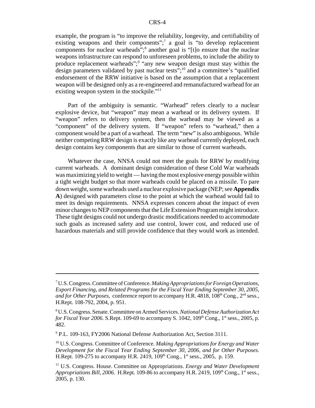example, the program is "to improve the reliability, longevity, and certifiability of existing weapons and their components";<sup>7</sup> a goal is "to develop replacement components for nuclear warheads";<sup>8</sup> another goal is "[t]o ensure that the nuclear weapons infrastructure can respond to unforeseen problems, to include the ability to produce replacement warheads";<sup>9</sup> "any new weapon design must stay within the design parameters validated by past nuclear tests";<sup>10</sup> and a committee's "qualified" endorsement of the RRW initiative is based on the assumption that a replacement weapon will be designed only as a re-engineered and remanufactured warhead for an existing weapon system in the stockpile."<sup>11</sup>

Part of the ambiguity is semantic. "Warhead" refers clearly to a nuclear explosive device, but "weapon" may mean a warhead or its delivery system. If "weapon" refers to delivery system, then the warhead may be viewed as a "component" of the delivery system. If "weapon" refers to "warhead," then a component would be a part of a warhead. The term "new" is also ambiguous. While neither competing RRW design is exactly like any warhead currently deployed, each design contains key components that are similar to those of current warheads.

Whatever the case, NNSA could not meet the goals for RRW by modifying current warheads. A dominant design consideration of these Cold War warheads was maximizing yield to weight — having the most explosive energy possible within a tight weight budget so that more warheads could be placed on a missile. To pare down weight, some warheads used a nuclear explosive package (NEP; see **Appendix A**) designed with parameters close to the point at which the warhead would fail to meet its design requirements. NNSA expresses concern about the impact of even minor changes to NEP components that the Life Extension Program might introduce. These tight designs could not undergo drastic modifications needed to accommodate such goals as increased safety and use control, lower cost, and reduced use of hazardous materials and still provide confidence that they would work as intended.

<sup>7</sup> U.S. Congress. Committee of Conference. *Making Appropriations for Foreign Operations, Export Financing, and Related Programs for the Fiscal Year Ending September 30, 2005, and for Other Purposes*, conference report to accompany H.R. 4818, 108<sup>th</sup> Cong., 2<sup>nd</sup> sess., H.Rept. 108-792, 2004, p. 951.

<sup>8</sup> U.S. Congress. Senate. Committee on Armed Services. *National Defense Authorization Act for Fiscal Year 2006.* S.Rept. 109-69 to accompany S. 1042, 109<sup>th</sup> Cong., 1<sup>st</sup> sess., 2005, p. 482.

<sup>&</sup>lt;sup>9</sup> P.L. 109-163, FY2006 National Defense Authorization Act, Section 3111.

<sup>10</sup> U.S. Congress. Committee of Conference. *Making Appropriations for Energy and Water Development for the Fiscal Year Ending September 30, 2006, and for Other Purposes.* H.Rept. 109-275 to accompany H.R. 2419, 109<sup>th</sup> Cong., 1<sup>st</sup> sess., 2005, p. 159.

<sup>11</sup> U.S. Congress. House. Committee on Appropriations. *Energy and Water Development Appropriations Bill, 2006.* H.Rept. 109-86 to accompany H.R. 2419,  $109<sup>th</sup>$  Cong.,  $1<sup>st</sup>$  sess., 2005, p. 130.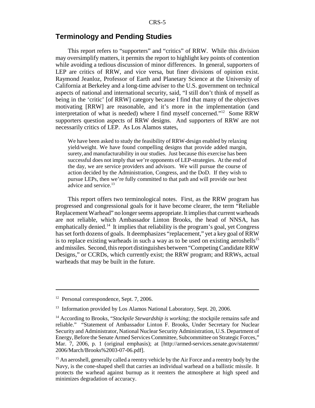### **Terminology and Pending Studies**

This report refers to "supporters" and "critics" of RRW. While this division may oversimplify matters, it permits the report to highlight key points of contention while avoiding a tedious discussion of minor differences. In general, supporters of LEP are critics of RRW, and vice versa, but finer divisions of opinion exist. Raymond Jeanloz, Professor of Earth and Planetary Science at the University of California at Berkeley and a long-time adviser to the U.S. government on technical aspects of national and international security, said, "I still don't think of myself as being in the 'critic' [of RRW] category because I find that many of the objectives motivating [RRW] are reasonable, and it's more in the implementation (and interpretation of what is needed) where I find myself concerned."12 Some RRW supporters question aspects of RRW designs. And supporters of RRW are not necessarily critics of LEP. As Los Alamos states,

We have been asked to study the feasibility of RRW-design enabled by relaxing yield/weight. We have found compelling designs that provide added margin, surety,and manufacturability in our studies. Just because this exercise has been successful does not imply that we're opponents of LEP-strategies. At the end of the day, we are service providers and advisors. We will pursue the course of action decided by the Administration, Congress, and the DoD. If they wish to pursue LEPs, then we're fully committed to that path and will provide our best advice and service.<sup>13</sup>

This report offers two terminological notes. First, as the RRW program has progressed and congressional goals for it have become clearer, the term "Reliable Replacement Warhead" no longer seems appropriate. It implies that current warheads are not reliable, which Ambassador Linton Brooks, the head of NNSA, has emphatically denied.<sup>14</sup> It implies that reliability is the program's goal, yet Congress has set forth dozens of goals. It deemphasizes "replacement," yet a key goal of RRW is to replace existing warheads in such a way as to be used on existing aeroshells<sup>15</sup> and missiles. Second, this report distinguishes between "Competing Candidate RRW Designs," or CCRDs, which currently exist; the RRW program; and RRWs, actual warheads that may be built in the future.

<sup>&</sup>lt;sup>12</sup> Personal correspondence, Sept. 7, 2006.

<sup>&</sup>lt;sup>13</sup> Information provided by Los Alamos National Laboratory, Sept. 20, 2006.

<sup>&</sup>lt;sup>14</sup> According to Brooks, "*Stockpile Stewardship is working*; the stockpile remains safe and reliable." "Statement of Ambassador Linton F. Brooks, Under Secretary for Nuclear Security and Administrator, National Nuclear Security Administration, U.S. Department of Energy, Before the Senate Armed Services Committee, Subcommittee on Strategic Forces," Mar. 7, 2006, p. 1 (original emphasis); at [http://armed-services.senate.gov/statemnt/ 2006/March/Brooks%2003-07-06.pdf].

<sup>&</sup>lt;sup>15</sup> An aeroshell, generally called a reentry vehicle by the Air Force and a reentry body by the Navy, is the cone-shaped shell that carries an individual warhead on a ballistic missile. It protects the warhead against burnup as it reenters the atmosphere at high speed and minimizes degradation of accuracy.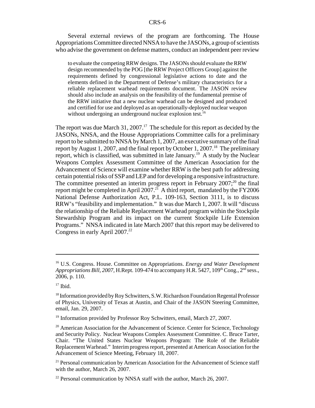Several external reviews of the program are forthcoming. The House Appropriations Committee directed NNSA to have the JASONs, a group of scientists who advise the government on defense matters, conduct an independent peer review

to evaluate the competing RRW designs. The JASONs should evaluate the RRW design recommended by the POG [the RRW Project Officers Group] against the requirements defined by congressional legislative actions to date and the elements defined in the Department of Defense's military characteristics for a reliable replacement warhead requirements document. The JASON review should also include an analysis on the feasibility of the fundamental premise of the RRW initiative that a new nuclear warhead can be designed and produced and certified for use and deployed as an operationally-deployed nuclear weapon without undergoing an underground nuclear explosion test.<sup>16</sup>

The report was due March 31, 2007.<sup>17</sup> The schedule for this report as decided by the JASONs, NNSA, and the House Appropriations Committee calls for a preliminary report to be submitted to NNSA by March 1, 2007, an executive summary of the final report by August 1, 2007, and the final report by October 1, 2007.<sup>18</sup> The preliminary report, which is classified, was submitted in late January.<sup>19</sup> A study by the Nuclear Weapons Complex Assessment Committee of the American Association for the Advancement of Science will examine whether RRW is the best path for addressing certain potential risks of SSP and LEP and for developing a responsive infrastructure. The committee presented an interim progress report in February  $2007$ ;<sup>20</sup> the final report might be completed in April 2007.<sup>21</sup> A third report, mandated by the FY2006 National Defense Authorization Act, P.L. 109-163, Section 3111, is to discuss RRW's "feasibility and implementation." It was due March 1, 2007. It will "discuss the relationship of the Reliable Replacement Warhead program within the Stockpile Stewardship Program and its impact on the current Stockpile Life Extension Programs." NNSA indicated in late March 2007 that this report may be delivered to Congress in early April  $2007.<sup>22</sup>$ 

<sup>16</sup> U.S. Congress. House. Committee on Appropriations. *Energy and Water Development Appropriations Bill, 2007, H.Rept. 109-474 to accompany H.R. 5427, 109<sup>th</sup> Cong.,*  $2<sup>nd</sup>$  *sess.,* 2006, p. 110.

 $17$  Ibid.

<sup>&</sup>lt;sup>18</sup> Information provided by Roy Schwitters, S.W. Richardson Foundation Regental Professor of Physics, University of Texas at Austin, and Chair of the JASON Steering Committee, email, Jan. 29, 2007.

<sup>&</sup>lt;sup>19</sup> Information provided by Professor Roy Schwitters, email, March 27, 2007.

<sup>&</sup>lt;sup>20</sup> American Association for the Advancement of Science. Center for Science, Technology and Security Policy. Nuclear Weapons Complex Assessment Committee. C. Bruce Tarter, Chair. "The United States Nuclear Weapons Program: The Role of the Reliable Replacement Warhead." Interim progress report, presented at American Association for the Advancement of Science Meeting, February 18, 2007.

<sup>&</sup>lt;sup>21</sup> Personal communication by American Association for the Advancement of Science staff with the author, March 26, 2007.

 $22$  Personal communication by NNSA staff with the author, March 26, 2007.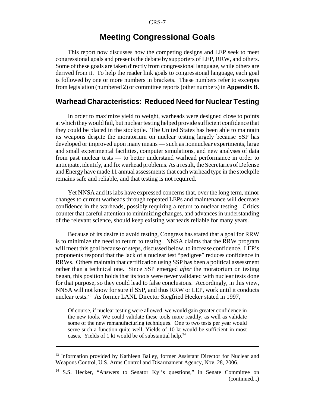# **Meeting Congressional Goals**

This report now discusses how the competing designs and LEP seek to meet congressional goals and presents the debate by supporters of LEP, RRW, and others. Some of these goals are taken directly from congressional language, while others are derived from it. To help the reader link goals to congressional language, each goal is followed by one or more numbers in brackets. These numbers refer to excerpts from legislation (numbered 2) or committee reports (other numbers) in **Appendix B**.

# **Warhead Characteristics: Reduced Need for Nuclear Testing**

In order to maximize yield to weight, warheads were designed close to points at which they would fail, but nuclear testing helped provide sufficient confidence that they could be placed in the stockpile. The United States has been able to maintain its weapons despite the moratorium on nuclear testing largely because SSP has developed or improved upon many means — such as nonnuclear experiments, large and small experimental facilities, computer simulations, and new analyses of data from past nuclear tests — to better understand warhead performance in order to anticipate, identify, and fix warhead problems. As a result, the Secretaries of Defense and Energy have made 11 annual assessments that each warhead type in the stockpile remains safe and reliable, and that testing is not required.

Yet NNSA and its labs have expressed concerns that, over the long term, minor changes to current warheads through repeated LEPs and maintenance will decrease confidence in the warheads, possibly requiring a return to nuclear testing. Critics counter that careful attention to minimizing changes, and advances in understanding of the relevant science, should keep existing warheads reliable for many years.

Because of its desire to avoid testing, Congress has stated that a goal for RRW is to minimize the need to return to testing. NNSA claims that the RRW program will meet this goal because of steps, discussed below, to increase confidence. LEP's proponents respond that the lack of a nuclear test "pedigree" reduces confidence in RRWs. Others maintain that certification using SSP has been a political assessment rather than a technical one. Since SSP emerged *after* the moratorium on testing began, this position holds that its tools were never validated with nuclear tests done for that purpose, so they could lead to false conclusions. Accordingly, in this view, NNSA will not know for sure if SSP, and thus RRW or LEP, work until it conducts nuclear tests.<sup>23</sup> As former LANL Director Siegfried Hecker stated in 1997,

Of course, if nuclear testing were allowed, we would gain greater confidence in the new tools. We could validate these tools more readily, as well as validate some of the new remanufacturing techniques. One to two tests per year would serve such a function quite well. Yields of 10 kt would be sufficient in most cases. Yields of 1 kt would be of substantial help.<sup>24</sup>

<sup>&</sup>lt;sup>23</sup> Information provided by Kathleen Bailey, former Assistant Director for Nuclear and Weapons Control, U.S. Arms Control and Disarmament Agency, Nov. 28, 2006.

<sup>&</sup>lt;sup>24</sup> S.S. Hecker, "Answers to Senator Kyl's questions," in Senate Committee on (continued...)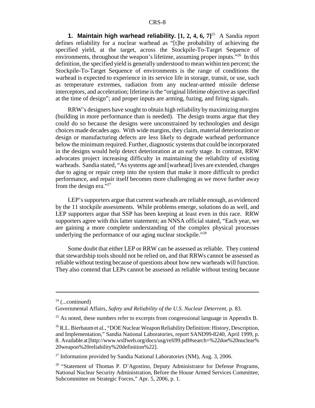**1. Maintain high warhead reliability.** [1, 2, 4, 6, 7]<sup>25</sup> A Sandia report defines reliability for a nuclear warhead as "[t]he probability of achieving the specified yield, at the target, across the Stockpile-To-Target Sequence of environments, throughout the weapon's lifetime, assuming proper inputs."<sup>26</sup> In this definition, the specified yield is generally understood to mean within ten percent; the Stockpile-To-Target Sequence of environments is the range of conditions the warhead is expected to experience in its service life in storage, transit, or use, such as temperature extremes, radiation from any nuclear-armed missile defense interceptors, and acceleration; lifetime is the "original lifetime objective as specified at the time of design"; and proper inputs are arming, fuzing, and firing signals.

RRW's designers have sought to obtain high reliability by maximizing margins (building in more performance than is needed). The design teams argue that they could do so because the designs were unconstrained by technologies and design choices made decades ago. With wide margins, they claim, material deterioration or design or manufacturing defects are less likely to degrade warhead performance below the minimum required. Further, diagnostic systems that could be incorporated in the designs would help detect deterioration at an early stage. In contrast, RRW advocates project increasing difficulty in maintaining the reliability of existing warheads. Sandia stated, "As systems age and [warhead] lives are extended, changes due to aging or repair creep into the system that make it more difficult to predict performance, and repair itself becomes more challenging as we move further away from the design era."<sup>27</sup>

LEP's supporters argue that current warheads are reliable enough, as evidenced by the 11 stockpile assessments. While problems emerge, solutions do as well, and LEP supporters argue that SSP has been keeping at least even in this race. RRW supporters agree with this latter statement; an NNSA official stated, "Each year, we are gaining a more complete understanding of the complex physical processes underlying the performance of our aging nuclear stockpile."28

Some doubt that either LEP or RRW can be assessed as reliable. They contend that stewardship tools should not be relied on, and that RRWs cannot be assessed as reliable without testing because of questions about how new warheads will function. They also contend that LEPs cannot be assessed as reliable without testing because

 $24$  (...continued)

Governmental Affairs, *Safety and Reliability of the U.S. Nuclear Deterrent,* p. 83.

<sup>&</sup>lt;sup>25</sup> As noted, these numbers refer to excerpts from congressional language in Appendix B.

<sup>&</sup>lt;sup>26</sup> R.L. Bierbaum et al., "DOE Nuclear Weapon Reliability Definition: History, Description, and Implementation," Sandia National Laboratories, report SAND99-8240, April 1999, p. 8. Available at [http://www.wslfweb.org/docs/usg/reli99.pdf#search=%22doe%20nuclear% 20weapon%20reliability%20definition%22].

 $27$  Information provided by Sandia National Laboratories (NM), Aug. 3, 2006.

<sup>&</sup>lt;sup>28</sup> "Statement of Thomas P. D'Agostino, Deputy Administrator for Defense Programs, National Nuclear Security Administration, Before the House Armed Services Committee, Subcommittee on Strategic Forces," Apr. 5, 2006, p. 1.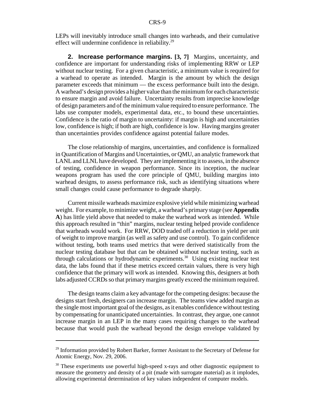LEPs will inevitably introduce small changes into warheads, and their cumulative effect will undermine confidence in reliability.<sup>29</sup>

**2. Increase performance margins. [3, 7]** Margins, uncertainty, and confidence are important for understanding risks of implementing RRW or LEP without nuclear testing. For a given characteristic, a minimum value is required for a warhead to operate as intended. Margin is the amount by which the design parameter exceeds that minimum — the excess performance built into the design. A warhead's design provides a higher value than the minimum for each characteristic to ensure margin and avoid failure. Uncertainty results from imprecise knowledge of design parameters and of the minimum value required to ensure performance. The labs use computer models, experimental data, etc., to bound these uncertainties. Confidence is the ratio of margin to uncertainty: if margin is high and uncertainties low, confidence is high; if both are high, confidence is low. Having margins greater than uncertainties provides confidence against potential failure modes.

The close relationship of margins, uncertainties, and confidence is formalized in Quantification of Margins and Uncertainties, or QMU, an analytic framework that LANL and LLNL have developed. They are implementing it to assess, in the absence of testing, confidence in weapon performance. Since its inception, the nuclear weapons program has used the core principle of QMU, building margins into warhead designs, to assess performance risk, such as identifying situations where small changes could cause performance to degrade sharply.

Current missile warheads maximize explosive yield while minimizing warhead weight. For example, to minimize weight, a warhead's primary stage (see **Appendix A**) has little yield above that needed to make the warhead work as intended. While this approach resulted in "thin" margins, nuclear testing helped provide confidence that warheads would work. For RRW, DOD traded off a reduction in yield per unit of weight to improve margin (as well as safety and use control). To gain confidence without testing, both teams used metrics that were derived statistically from the nuclear testing database but that can be obtained without nuclear testing, such as through calculations or hydrodynamic experiments.<sup>30</sup> Using existing nuclear test data, the labs found that if these metrics exceed certain values, there is very high confidence that the primary will work as intended. Knowing this, designers at both labs adjusted CCRDs so that primary margins greatly exceed the minimum required.

The design teams claim a key advantage for the competing designs: because the designs start fresh, designers can increase margin. The teams view added margin as the single most important goal of the designs, as it enables confidence without testing by compensating for unanticipated uncertainties. In contrast, they argue, one cannot increase margin in an LEP in the many cases requiring changes to the warhead because that would push the warhead beyond the design envelope validated by

<sup>&</sup>lt;sup>29</sup> Information provided by Robert Barker, former Assistant to the Secretary of Defense for Atomic Energy, Nov. 29, 2006.

<sup>&</sup>lt;sup>30</sup> These experiments use powerful high-speed x-rays and other diagnostic equipment to measure the geometry and density of a pit (made with surrogate material) as it implodes, allowing experimental determination of key values independent of computer models.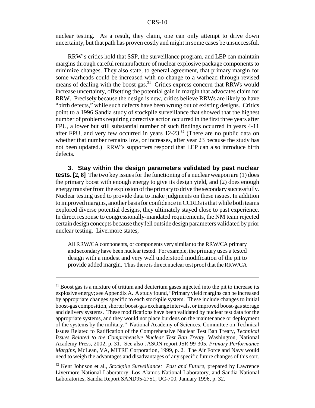nuclear testing. As a result, they claim, one can only attempt to drive down uncertainty, but that path has proven costly and might in some cases be unsuccessful.

RRW's critics hold that SSP, the surveillance program, and LEP can maintain margins through careful remanufacture of nuclear explosive package components to minimize changes. They also state, to general agreement, that primary margin for some warheads could be increased with no change to a warhead through revised means of dealing with the boost gas.<sup>31</sup> Critics express concern that RRWs would increase uncertainty, offsetting the potential gain in margin that advocates claim for RRW. Precisely because the design is new, critics believe RRWs are likely to have "birth defects," while such defects have been wrung out of existing designs. Critics point to a 1996 Sandia study of stockpile surveillance that showed that the highest number of problems requiring corrective action occurred in the first three years after FPU, a lower but still substantial number of such findings occurred in years 4-11 after FPU, and very few occurred in years  $12{\text -}23$ .<sup>32</sup> (There are no public data on whether that number remains low, or increases, after year 23 because the study has not been updated.) RRW's supporters respond that LEP can also introduce birth defects.

**3. Stay within the design parameters validated by past nuclear tests.** [2, 8] The two key issues for the functioning of a nuclear weapon are (1) does the primary boost with enough energy to give its design yield, and (2) does enough energy transfer from the explosion of the primary to drive the secondary successfully. Nuclear testing used to provide data to make judgments on these issues. In addition to improved margins, another basis for confidence in CCRDs is that while both teams explored diverse potential designs, they ultimately stayed close to past experience. In direct response to congressionally-mandated requirements, the NM team rejected certain design concepts because they fell outside design parameters validated by prior nuclear testing. Livermore states,

All RRW/CA components, or components very similar to the RRW/CA primary and secondary have been nuclear tested. For example, the primary uses a tested design with a modest and very well understood modification of the pit to provide added margin. Thus there is direct nuclear test proof that the RRW/CA

 $31$  Boost gas is a mixture of tritium and deuterium gases injected into the pit to increase its explosive energy; see Appendix A. A study found, "Primary yield margins can be increased by appropriate changes specific to each stockpile system. These include changes to initial boost-gas composition, shorter boost-gas exchange intervals, or improved boost-gas storage and delivery systems. These modifications have been validated by nuclear test data for the appropriate systems, and they would not place burdens on the maintenance or deployment of the systems by the military." National Academy of Sciences, Committee on Technical Issues Related to Ratification of the Comprehensive Nuclear Test Ban Treaty, *Technical Issues Related to the Comprehensive Nuclear Test Ban Treaty,* Washington, National Academy Press, 2002, p. 31. See also JASON report JSR-99-305, *Primary Performance Margins,* McLean, VA, MITRE Corporation, 1999, p. 2. The Air Force and Navy would need to weigh the advantages and disadvantages of any specific future changes of this sort.

<sup>32</sup> Kent Johnson et al., *Stockpile Surveillance: Past and Future,* prepared by Lawrence Livermore National Laboratory, Los Alamos National Laboratory, and Sandia National Laboratories, Sandia Report SAND95-2751, UC-700, January 1996, p. 32.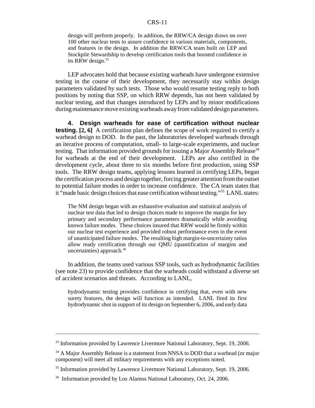design will perform properly. In addition, the RRW/CA design draws on over 100 other nuclear tests to assure confidence in various materials, components, and features in the design. In addition the RRW/CA team built on LEP and Stockpile Stewardship to develop certification tools that boosted confidence in its RRW design.<sup>33</sup>

LEP advocates hold that because existing warheads have undergone extensive testing in the course of their development, they necessarily stay within design parameters validated by such tests. Those who would resume testing reply to both positions by noting that SSP, on which RRW depends, has not been validated by nuclear testing, and that changes introduced by LEPs and by minor modifications during maintenance move existing warheads away from validated design parameters.

**4. Design warheads for ease of certification without nuclear testing.** [2, 6] A certification plan defines the scope of work required to certify a warhead design to DOD. In the past, the laboratories developed warheads through an iterative process of computation, small- to large-scale experiments, and nuclear testing. That information provided grounds for issuing a Major Assembly Release<sup>34</sup> for warheads at the end of their development. LEPs are also certified in the development cycle, about three to six months before first production, using SSP tools. The RRW design teams, applying lessons learned in certifying LEPs, began the certification process and design together, forcing greater attention from the outset to potential failure modes in order to increase confidence. The CA team states that it "made basic design choices that ease certification without testing."35 LANL states:

The NM design began with an exhaustive evaluation and statistical analysis of nuclear test data that led to design choices made to improve the margin for key primary and secondary performance parameters dramatically while avoiding known failure modes. These choices insured that RRW would be firmly within our nuclear test experience and provided robust performance even in the event of unanticipated failure modes. The resulting high margin-to-uncertainty ratios allow ready certification through our QMU (quantification of margins and uncertainties) approach.<sup>36</sup>

In addition, the teams used various SSP tools, such as hydrodynamic facilities (see note 23) to provide confidence that the warheads could withstand a diverse set of accident scenarios and threats. According to LANL,

hydrodynamic testing provides confidence in certifying that, even with new surety features, the design will function as intended. LANL fired its first hydrodynamic shot in support of its design on September 6, 2006, and early data

<sup>&</sup>lt;sup>33</sup> Information provided by Lawrence Livermore National Laboratory, Sept. 19, 2006.

<sup>&</sup>lt;sup>34</sup> A Major Assembly Release is a statement from NNSA to DOD that a warhead (or major component) will meet all military requirements with any exceptions noted.

<sup>&</sup>lt;sup>35</sup> Information provided by Lawrence Livermore National Laboratory, Sept. 19, 2006.

<sup>&</sup>lt;sup>36</sup> Information provided by Los Alamos National Laboratory, Oct. 24, 2006.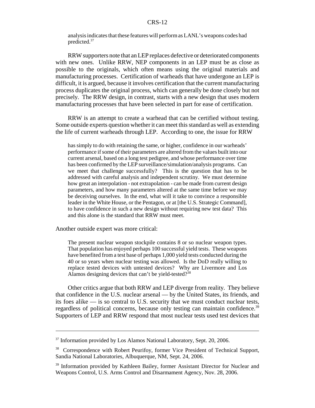analysis indicates that these features will perform as LANL's weapons codes had predicted.37

RRW supporters note that an LEP replaces defective or deteriorated components with new ones. Unlike RRW, NEP components in an LEP must be as close as possible to the originals, which often means using the original materials and manufacturing processes. Certification of warheads that have undergone an LEP is difficult, it is argued, because it involves certification that the current manufacturing process duplicates the original process, which can generally be done closely but not precisely. The RRW design, in contrast, starts with a new design that uses modern manufacturing processes that have been selected in part for ease of certification.

RRW is an attempt to create a warhead that can be certified without testing. Some outside experts question whether it can meet this standard as well as extending the life of current warheads through LEP. According to one, the issue for RRW

has simply to do with retaining the same, or higher, confidence in our warheads' performance if some of their parameters are altered from the values built into our current arsenal, based on a long test pedigree, and whose performance over time has been confirmed by the LEP surveillance/simulation/analysis programs. Can we meet that challenge successfully? This is the question that has to be addressed with careful analysis and independent scrutiny. We must determine how great an interpolation - not extrapolation - can be made from current design parameters, and how many parameters altered at the same time before we may be deceiving ourselves. In the end, what will it take to convince a responsible leader in the White House, or the Pentagon, or at [the U.S. Strategic Command], to have confidence in such a new design without requiring new test data? This and this alone is the standard that RRW must meet.

Another outside expert was more critical:

The present nuclear weapon stockpile contains 8 or so nuclear weapon types. That population has enjoyed perhaps 100 successful yield tests. These weapons have benefited from a test base of perhaps 1,000 yield tests conducted during the 40 or so years when nuclear testing was allowed. Is the DoD really willing to replace tested devices with untested devices? Why are Livermore and Los Alamos designing devices that can't be yield-tested? $38$ 

Other critics argue that both RRW and LEP diverge from reality. They believe that confidence in the U.S. nuclear arsenal — by the United States, its friends, and its foes alike — is so central to U.S. security that we must conduct nuclear tests, regardless of political concerns, because only testing can maintain confidence.<sup>39</sup> Supporters of LEP and RRW respond that most nuclear tests used test devices that

<sup>&</sup>lt;sup>37</sup> Information provided by Los Alamos National Laboratory, Sept. 20, 2006.

<sup>&</sup>lt;sup>38</sup> Correspondence with Robert Peurifoy, former Vice President of Technical Support, Sandia National Laboratories, Albuquerque, NM, Sept. 24, 2006.

<sup>&</sup>lt;sup>39</sup> Information provided by Kathleen Bailey, former Assistant Director for Nuclear and Weapons Control, U.S. Arms Control and Disarmament Agency, Nov. 28, 2006.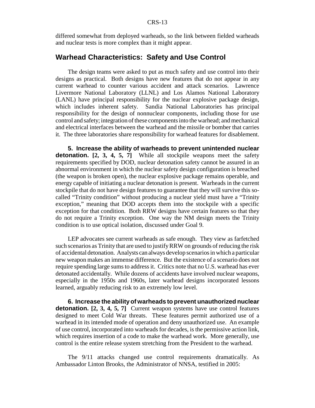differed somewhat from deployed warheads, so the link between fielded warheads and nuclear tests is more complex than it might appear.

#### **Warhead Characteristics: Safety and Use Control**

The design teams were asked to put as much safety and use control into their designs as practical. Both designs have new features that do not appear in any current warhead to counter various accident and attack scenarios. Lawrence Livermore National Laboratory (LLNL) and Los Alamos National Laboratory (LANL) have principal responsibility for the nuclear explosive package design, which includes inherent safety. Sandia National Laboratories has principal responsibility for the design of nonnuclear components, including those for use control and safety; integration of these components into the warhead; and mechanical and electrical interfaces between the warhead and the missile or bomber that carries it. The three laboratories share responsibility for warhead features for disablement.

**5. Increase the ability of warheads to prevent unintended nuclear detonation.** [2, 3, 4, 5, 7] While all stockpile weapons meet the safety requirements specified by DOD, nuclear detonation safety cannot be assured in an abnormal environment in which the nuclear safety design configuration is breached (the weapon is broken open), the nuclear explosive package remains operable, and energy capable of initiating a nuclear detonation is present. Warheads in the current stockpile that do not have design features to guarantee that they will survive this socalled "Trinity condition" without producing a nuclear yield must have a "Trinity exception," meaning that DOD accepts them into the stockpile with a specific exception for that condition. Both RRW designs have certain features so that they do not require a Trinity exception. One way the NM design meets the Trinity condition is to use optical isolation, discussed under Goal 9.

LEP advocates see current warheads as safe enough. They view as farfetched such scenarios as Trinity that are used to justify RRW on grounds of reducing the risk of accidental detonation. Analysts can always develop scenarios in which a particular new weapon makes an immense difference. But the existence of a scenario does not require spending large sums to address it. Critics note that no U.S. warhead has ever detonated accidentally. While dozens of accidents have involved nuclear weapons, especially in the 1950s and 1960s, later warhead designs incorporated lessons learned, arguably reducing risk to an extremely low level.

**6. Increase the ability of warheads to prevent unauthorized nuclear detonation. [2, 3, 4, 5, 7]** Current weapon systems have use control features designed to meet Cold War threats. These features permit authorized use of a warhead in its intended mode of operation and deny unauthorized use. An example of use control, incorporated into warheads for decades, is the permissive action link, which requires insertion of a code to make the warhead work. More generally, use control is the entire release system stretching from the President to the warhead.

The 9/11 attacks changed use control requirements dramatically. As Ambassador Linton Brooks, the Administrator of NNSA, testified in 2005: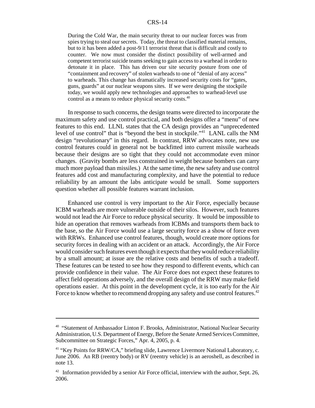During the Cold War, the main security threat to our nuclear forces was from spies trying to steal our secrets. Today, the threat to classified material remains, but to it has been added a post-9/11 terrorist threat that is difficult and costly to counter. We now must consider the distinct possibility of well-armed and competent terrorist suicide teams seeking to gain access to a warhead in order to detonate it in place. This has driven our site security posture from one of "containment and recovery" of stolen warheads to one of "denial of any access" to warheads. This change has dramatically increased security costs for "gates, guns, guards" at our nuclear weapons sites. If we were designing the stockpile today, we would apply new technologies and approaches to warhead-level use control as a means to reduce physical security costs.40

In response to such concerns, the design teams were directed to incorporate the maximum safety and use control practical, and both designs offer a "menu" of new features to this end. LLNL states that the CA design provides an "unprecedented level of use control" that is "beyond the best in stockpile."<sup>41</sup> LANL calls the NM design "revolutionary" in this regard. In contrast, RRW advocates note, new use control features could in general not be backfitted into current missile warheads because their designs are so tight that they could not accommodate even minor changes. (Gravity bombs are less constrained in weight because bombers can carry much more payload than missiles.) At the same time, the new safety and use control features add cost and manufacturing complexity, and have the potential to reduce reliability by an amount the labs anticipate would be small. Some supporters question whether all possible features warrant inclusion.

Enhanced use control is very important to the Air Force, especially because ICBM warheads are more vulnerable outside of their silos. However, such features would not lead the Air Force to reduce physical security. It would be impossible to hide an operation that removes warheads from ICBMs and transports them back to the base, so the Air Force would use a large security force as a show of force even with RRWs. Enhanced use control features, though, would create more options for security forces in dealing with an accident or an attack. Accordingly, the Air Force would consider such features even though it expects that they would reduce reliability by a small amount; at issue are the relative costs and benefits of such a tradeoff. These features can be tested to see how they respond to different events, which can provide confidence in their value. The Air Force does not expect these features to affect field operations adversely, and the overall design of the RRW may make field operations easier. At this point in the development cycle, it is too early for the Air Force to know whether to recommend dropping any safety and use control features.<sup>42</sup>

<sup>&</sup>lt;sup>40</sup> "Statement of Ambassador Linton F. Brooks, Administrator, National Nuclear Security Administration, U.S. Department of Energy, Before the Senate Armed Services Committee, Subcommittee on Strategic Forces," Apr. 4, 2005, p. 4.

<sup>41 &</sup>quot;Key Points for RRW/CA," briefing slide, Lawrence Livermore National Laboratory, c. June 2006. An RB (reentry body) or RV (reentry vehicle) is an aeroshell, as described in note 13.

 $42$  Information provided by a senior Air Force official, interview with the author, Sept. 26, 2006.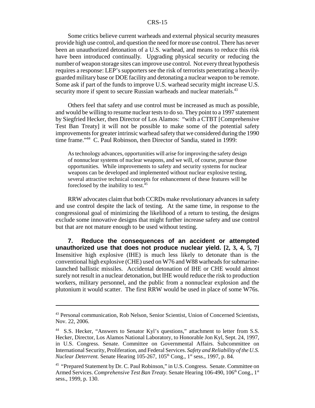Some critics believe current warheads and external physical security measures provide high use control, and question the need for more use control. There has never been an unauthorized detonation of a U.S. warhead, and means to reduce this risk have been introduced continually. Upgrading physical security or reducing the number of weapon storage sites can improve use control. Not every threat hypothesis requires a response: LEP's supporters see the risk of terrorists penetrating a heavilyguarded military base or DOE facility and detonating a nuclear weapon to be remote. Some ask if part of the funds to improve U.S. warhead security might increase U.S. security more if spent to secure Russian warheads and nuclear materials.<sup>43</sup>

Others feel that safety and use control must be increased as much as possible, and would be willing to resume nuclear tests to do so. They point to a 1997 statement by Siegfried Hecker, then Director of Los Alamos: "with a CTBT [Comprehensive Test Ban Treaty] it will not be possible to make some of the potential safety improvements for greater intrinsic warhead safety that we considered during the 1990 time frame."44 C. Paul Robinson, then Director of Sandia, stated in 1999:

As technology advances, opportunities will arise for improving the safety design of nonnuclear systems of nuclear weapons, and we will, of course, pursue those opportunities. While improvements to safety and security systems for nuclear weapons can be developed and implemented without nuclear explosive testing, several attractive technical concepts for enhancement of these features will be foreclosed by the inability to test.<sup>45</sup>

RRW advocates claim that both CCRDs make revolutionary advances in safety and use control despite the lack of testing. At the same time, in response to the congressional goal of minimizing the likelihood of a return to testing, the designs exclude some innovative designs that might further increase safety and use control but that are not mature enough to be used without testing.

**7. Reduce the consequences of an accident or attempted unauthorized use that does not produce nuclear yield. [2, 3, 4, 5, 7]** Insensitive high explosive (IHE) is much less likely to detonate than is the conventional high explosive (CHE) used on W76 and W88 warheads for submarinelaunched ballistic missiles. Accidental detonation of IHE or CHE would almost surely not result in a nuclear detonation, but IHE would reduce the risk to production workers, military personnel, and the public from a nonnuclear explosion and the plutonium it would scatter. The first RRW would be used in place of some W76s.

<sup>&</sup>lt;sup>43</sup> Personal communication, Rob Nelson, Senior Scientist, Union of Concerned Scientists, Nov. 22, 2006.

<sup>44</sup> S.S. Hecker, "Answers to Senator Kyl's questions," attachment to letter from S.S. Hecker, Director, Los Alamos National Laboratory, to Honorable Jon Kyl, Sept. 24, 1997, in U.S. Congress. Senate. Committee on Governmental Affairs. Subcommittee on International Security, Proliferation, and Federal Services. *Safety and Reliability of the U.S. Nuclear Deterrent.* Senate Hearing 105-267, 105<sup>th</sup> Cong., 1<sup>st</sup> sess., 1997, p. 84.

<sup>&</sup>lt;sup>45</sup> "Prepared Statement by Dr. C. Paul Robinson," in U.S. Congress. Senate. Committee on Armed Services. *Comprehensive Test Ban Treaty*. Senate Hearing 106-490, 106<sup>th</sup> Cong., 1<sup>st</sup> sess., 1999, p. 130.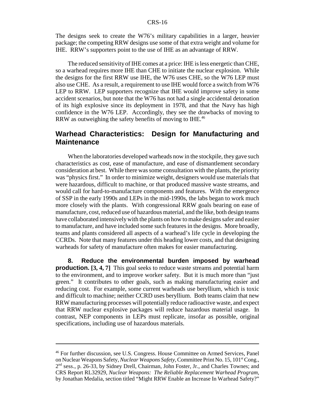The designs seek to create the W76's military capabilities in a larger, heavier package; the competing RRW designs use some of that extra weight and volume for IHE. RRW's supporters point to the use of IHE as an advantage of RRW.

The reduced sensitivity of IHE comes at a price: IHE is less energetic than CHE, so a warhead requires more IHE than CHE to initiate the nuclear explosion. While the designs for the first RRW use IHE, the W76 uses CHE, so the W76 LEP must also use CHE. As a result, a requirement to use IHE would force a switch from W76 LEP to RRW. LEP supporters recognize that IHE would improve safety in some accident scenarios, but note that the W76 has not had a single accidental detonation of its high explosive since its deployment in 1978, and that the Navy has high confidence in the W76 LEP. Accordingly, they see the drawbacks of moving to RRW as outweighing the safety benefits of moving to IHE.<sup>46</sup>

## **Warhead Characteristics: Design for Manufacturing and Maintenance**

When the laboratories developed warheads now in the stockpile, they gave such characteristics as cost, ease of manufacture, and ease of dismantlement secondary consideration at best. While there was some consultation with the plants, the priority was "physics first." In order to minimize weight, designers would use materials that were hazardous, difficult to machine, or that produced massive waste streams, and would call for hard-to-manufacture components and features. With the emergence of SSP in the early 1990s and LEPs in the mid-1990s, the labs began to work much more closely with the plants. With congressional RRW goals bearing on ease of manufacture, cost, reduced use of hazardous material, and the like, both design teams have collaborated intensively with the plants on how to make designs safer and easier to manufacture, and have included some such features in the designs. More broadly, teams and plants considered all aspects of a warhead's life cycle in developing the CCRDs. Note that many features under this heading lower costs, and that designing warheads for safety of manufacture often makes for easier manufacturing.

**8. Reduce the environmental burden imposed by warhead production. [3, 4, 7]** This goal seeks to reduce waste streams and potential harm to the environment, and to improve worker safety. But it is much more than "just green." It contributes to other goals, such as making manufacturing easier and reducing cost. For example, some current warheads use beryllium, which is toxic and difficult to machine; neither CCRD uses beryllium. Both teams claim that new RRW manufacturing processes will potentially reduce radioactive waste, and expect that RRW nuclear explosive packages will reduce hazardous material usage. In contrast, NEP components in LEPs must replicate, insofar as possible, original specifications, including use of hazardous materials.

<sup>46</sup> For further discussion, see U.S. Congress. House Committee on Armed Services, Panel on Nuclear Weapons Safety, *Nuclear Weapons Safety*, Committee Print No. 15, 101<sup>st</sup> Cong., 2nd sess., p. 26-33, by Sidney Drell, Chairman, John Foster, Jr., and Charles Townes; and CRS Report RL32929, *Nuclear Weapons: The Reliable Replacement Warhead Program,* by Jonathan Medalia, section titled "Might RRW Enable an Increase In Warhead Safety?"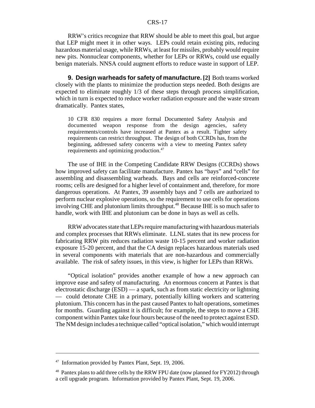RRW's critics recognize that RRW should be able to meet this goal, but argue that LEP might meet it in other ways. LEPs could retain existing pits, reducing hazardous material usage, while RRWs, at least for missiles, probably would require new pits. Nonnuclear components, whether for LEPs or RRWs, could use equally benign materials. NNSA could augment efforts to reduce waste in support of LEP.

**9. Design warheads for safety of manufacture. [2]** Both teams worked closely with the plants to minimize the production steps needed. Both designs are expected to eliminate roughly 1/3 of these steps through process simplification, which in turn is expected to reduce worker radiation exposure and the waste stream dramatically. Pantex states,

10 CFR 830 requires a more formal Documented Safety Analysis and documented weapon response from the design agencies, safety requirements/controls have increased at Pantex as a result. Tighter safety requirements can restrict throughput. The design of both CCRDs has, from the beginning, addressed safety concerns with a view to meeting Pantex safety requirements and optimizing production.<sup>47</sup>

The use of IHE in the Competing Candidate RRW Designs (CCRDs) shows how improved safety can facilitate manufacture. Pantex has "bays" and "cells" for assembling and disassembling warheads. Bays and cells are reinforced-concrete rooms; cells are designed for a higher level of containment and, therefore, for more dangerous operations. At Pantex, 39 assembly bays and 7 cells are authorized to perform nuclear explosive operations, so the requirement to use cells for operations involving CHE and plutonium limits throughput.<sup>48</sup> Because IHE is so much safer to handle, work with IHE and plutonium can be done in bays as well as cells.

RRW advocates state that LEPs require manufacturing with hazardous materials and complex processes that RRWs eliminate. LLNL states that its new process for fabricating RRW pits reduces radiation waste 10-15 percent and worker radiation exposure 15-20 percent, and that the CA design replaces hazardous materials used in several components with materials that are non-hazardous and commercially available. The risk of safety issues, in this view, is higher for LEPs than RRWs.

"Optical isolation" provides another example of how a new approach can improve ease and safety of manufacturing. An enormous concern at Pantex is that electrostatic discharge (ESD) — a spark, such as from static electricity or lightning — could detonate CHE in a primary, potentially killing workers and scattering plutonium. This concern has in the past caused Pantex to halt operations, sometimes for months. Guarding against it is difficult; for example, the steps to move a CHE component within Pantex take four hours because of the need to protect against ESD. The NM design includes a technique called "optical isolation," which would interrupt

<sup>&</sup>lt;sup>47</sup> Information provided by Pantex Plant, Sept. 19, 2006.

<sup>&</sup>lt;sup>48</sup> Pantex plans to add three cells by the RRW FPU date (now planned for FY2012) through a cell upgrade program. Information provided by Pantex Plant, Sept. 19, 2006.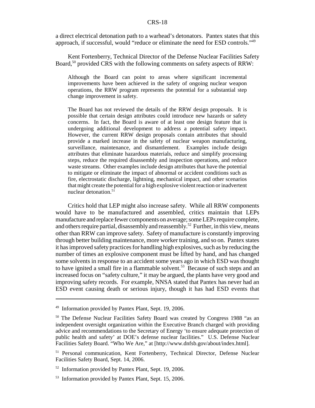a direct electrical detonation path to a warhead's detonators. Pantex states that this approach, if successful, would "reduce or eliminate the need for ESD controls."49

Kent Fortenberry, Technical Director of the Defense Nuclear Facilities Safety Board,<sup>50</sup> provided CRS with the following comments on safety aspects of RRW:

Although the Board can point to areas where significant incremental improvements have been achieved in the safety of ongoing nuclear weapon operations, the RRW program represents the potential for a substantial step change improvement in safety.

The Board has not reviewed the details of the RRW design proposals. It is possible that certain design attributes could introduce new hazards or safety concerns. In fact, the Board is aware of at least one design feature that is undergoing additional development to address a potential safety impact. However, the current RRW design proposals contain attributes that should provide a marked increase in the safety of nuclear weapon manufacturing, surveillance, maintenance, and dismantlement. Examples include design attributes that eliminate hazardous materials, reduce and simplify processing steps, reduce the required disassembly and inspection operations, and reduce waste streams. Other examples include design attributes that have the potential to mitigate or eliminate the impact of abnormal or accident conditions such as fire, electrostatic discharge, lightning, mechanical impact, and other scenarios that might create the potential for a high explosive violent reaction or inadvertent nuclear detonation.<sup>51</sup>

Critics hold that LEP might also increase safety. While all RRW components would have to be manufactured and assembled, critics maintain that LEPs manufacture and replace fewer components on average; some LEPs require complete, and others require partial, disassembly and reassembly.<sup>52</sup> Further, in this view, means other than RRW can improve safety. Safety of manufacture is constantly improving through better building maintenance, more worker training, and so on. Pantex states it has improved safety practices for handling high explosives, such as by reducing the number of times an explosive component must be lifted by hand, and has changed some solvents in response to an accident some years ago in which ESD was thought to have ignited a small fire in a flammable solvent.<sup>53</sup> Because of such steps and an increased focus on "safety culture," it may be argued, the plants have very good and improving safety records. For example, NNSA stated that Pantex has never had an ESD event causing death or serious injury, though it has had ESD events that

<sup>&</sup>lt;sup>49</sup> Information provided by Pantex Plant, Sept. 19, 2006.

<sup>&</sup>lt;sup>50</sup> The Defense Nuclear Facilities Safety Board was created by Congress 1988 "as an independent oversight organization within the Executive Branch charged with providing advice and recommendations to the Secretary of Energy 'to ensure adequate protection of public health and safety' at DOE's defense nuclear facilities." U.S. Defense Nuclear Facilities Safety Board. "Who We Are," at [http://www.dnfsb.gov/about/index.html].

<sup>&</sup>lt;sup>51</sup> Personal communication, Kent Fortenberry, Technical Director, Defense Nuclear Facilities Safety Board, Sept. 14, 2006.

<sup>52</sup> Information provided by Pantex Plant, Sept. 19, 2006.

<sup>53</sup> Information provided by Pantex Plant, Sept. 15, 2006.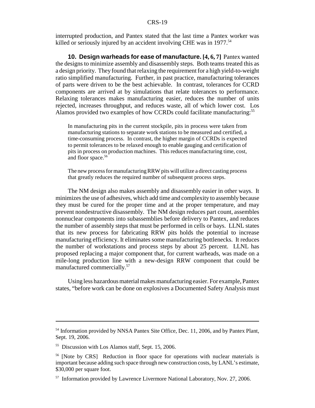interrupted production, and Pantex stated that the last time a Pantex worker was killed or seriously injured by an accident involving CHE was in 1977.<sup>54</sup>

**10. Design warheads for ease of manufacture. [4, 6, 7]** Pantex wanted the designs to minimize assembly and disassembly steps. Both teams treated this as a design priority. They found that relaxing the requirement for a high yield-to-weight ratio simplified manufacturing. Further, in past practice, manufacturing tolerances of parts were driven to be the best achievable. In contrast, tolerances for CCRD components are arrived at by simulations that relate tolerances to performance. Relaxing tolerances makes manufacturing easier, reduces the number of units rejected, increases throughput, and reduces waste, all of which lower cost. Los Alamos provided two examples of how CCRDs could facilitate manufacturing:<sup>55</sup>

In manufacturing pits in the current stockpile, pits in process were taken from manufacturing stations to separate work stations to be measured and certified, a time-consuming process. In contrast, the higher margin of CCRDs is expected to permit tolerances to be relaxed enough to enable gauging and certification of pits in process on production machines. This reduces manufacturing time, cost, and floor space.<sup>56</sup>

The new process for manufacturing RRW pits will utilize a direct casting process that greatly reduces the required number of subsequent process steps.

The NM design also makes assembly and disassembly easier in other ways. It minimizes the use of adhesives, which add time and complexity to assembly because they must be cured for the proper time and at the proper temperature, and may prevent nondestructive disassembly. The NM design reduces part count, assembles nonnuclear components into subassemblies before delivery to Pantex, and reduces the number of assembly steps that must be performed in cells or bays. LLNL states that its new process for fabricating RRW pits holds the potential to increase manufacturing efficiency. It eliminates some manufacturing bottlenecks. It reduces the number of workstations and process steps by about 25 percent. LLNL has proposed replacing a major component that, for current warheads, was made on a mile-long production line with a new-design RRW component that could be manufactured commercially.57

Using less hazardous material makes manufacturing easier. For example, Pantex states, "before work can be done on explosives a Documented Safety Analysis must

<sup>&</sup>lt;sup>54</sup> Information provided by NNSA Pantex Site Office, Dec. 11, 2006, and by Pantex Plant, Sept. 19, 2006.

<sup>55</sup> Discussion with Los Alamos staff, Sept. 15, 2006.

<sup>&</sup>lt;sup>56</sup> [Note by CRS] Reduction in floor space for operations with nuclear materials is important because adding such space through new construction costs, by LANL's estimate, \$30,000 per square foot.

<sup>&</sup>lt;sup>57</sup> Information provided by Lawrence Livermore National Laboratory, Nov. 27, 2006.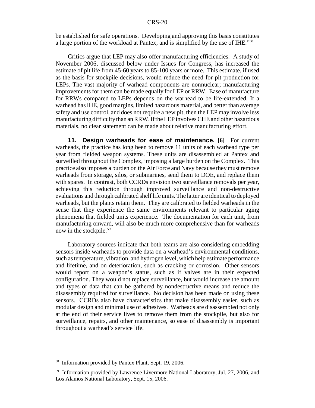be established for safe operations. Developing and approving this basis constitutes a large portion of the workload at Pantex, and is simplified by the use of IHE."58

Critics argue that LEP may also offer manufacturing efficiencies. A study of November 2006, discussed below under Issues for Congress, has increased the estimate of pit life from 45-60 years to 85-100 years or more. This estimate, if used as the basis for stockpile decisions, would reduce the need for pit production for LEPs. The vast majority of warhead components are nonnuclear; manufacturing improvements for them can be made equally for LEP or RRW. Ease of manufacture for RRWs compared to LEPs depends on the warhead to be life-extended. If a warhead has IHE, good margins, limited hazardous material, and better than average safety and use control, and does not require a new pit, then the LEP may involve less manufacturing difficulty than an RRW. If the LEP involves CHE and other hazardous materials, no clear statement can be made about relative manufacturing effort.

**11. Design warheads for ease of maintenance. [6]** For current warheads, the practice has long been to remove 11 units of each warhead type per year from fielded weapon systems. These units are disassembled at Pantex and surveilled throughout the Complex, imposing a large burden on the Complex. This practice also imposes a burden on the Air Force and Navy because they must remove warheads from storage, silos, or submarines, send them to DOE, and replace them with spares. In contrast, both CCRDs envision two surveillance removals per year, achieving this reduction through improved surveillance and non-destructive evaluations and through calibrated shelf life units. The latter are identical to deployed warheads, but the plants retain them. They are calibrated to fielded warheads in the sense that they experience the same environments relevant to particular aging phenomena that fielded units experience. The documentation for each unit, from manufacturing onward, will also be much more comprehensive than for warheads now in the stockpile.<sup>59</sup>

Laboratory sources indicate that both teams are also considering embedding sensors inside warheads to provide data on a warhead's environmental conditions, such as temperature, vibration, and hydrogen level, which help estimate performance and lifetime, and on deterioration, such as cracking or corrosion. Other sensors would report on a weapon's status, such as if valves are in their expected configuration. They would not replace surveillance, but would increase the amount and types of data that can be gathered by nondestructive means and reduce the disassembly required for surveillance. No decision has been made on using these sensors. CCRDs also have characteristics that make disassembly easier, such as modular design and minimal use of adhesives. Warheads are disassembled not only at the end of their service lives to remove them from the stockpile, but also for surveillance, repairs, and other maintenance, so ease of disassembly is important throughout a warhead's service life.

<sup>58</sup> Information provided by Pantex Plant, Sept. 19, 2006.

<sup>&</sup>lt;sup>59</sup> Information provided by Lawrence Livermore National Laboratory, Jul. 27, 2006, and Los Alamos National Laboratory, Sept. 15, 2006.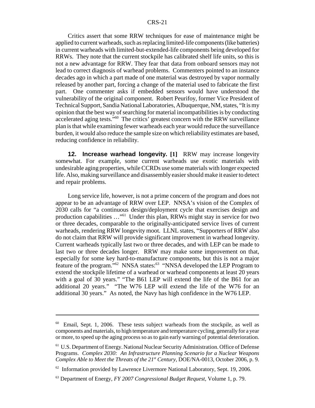Critics assert that some RRW techniques for ease of maintenance might be applied to current warheads, such as replacing limited-life components (like batteries) in current warheads with limited-but-extended-life components being developed for RRWs. They note that the current stockpile has calibrated shelf life units, so this is not a new advantage for RRW. They fear that data from onboard sensors may not lead to correct diagnosis of warhead problems. Commenters pointed to an instance decades ago in which a part made of one material was destroyed by vapor normally released by another part, forcing a change of the material used to fabricate the first part. One commenter asks if embedded sensors would have understood the vulnerability of the original component. Robert Peurifoy, former Vice President of Technical Support, Sandia National Laboratories, Albuquerque, NM, states, "It is my opinion that the best way of searching for material incompatibilities is by conducting accelerated aging tests."60 The critics' greatest concern with the RRW surveillance plan is that while examining fewer warheads each year would reduce the surveillance burden, it would also reduce the sample size on which reliability estimates are based, reducing confidence in reliability.

**12. Increase warhead longevity. [1]** RRW may increase longevity somewhat. For example, some current warheads use exotic materials with undesirable aging properties, while CCRDs use some materials with longer expected life. Also, making surveillance and disassembly easier should make it easier to detect and repair problems.

Long service life, however, is not a prime concern of the program and does not appear to be an advantage of RRW over LEP. NNSA's vision of the Complex of 2030 calls for "a continuous design/deployment cycle that exercises design and production capabilities …"61 Under this plan, RRWs might stay in service for two or three decades, comparable to the originally-anticipated service lives of current warheads, rendering RRW longevity moot. LLNL states, "Supporters of RRW also do not claim that RRW will provide significant improvement in warhead longevity. Current warheads typically last two or three decades, and with LEP can be made to last two or three decades longer. RRW may make some improvement on that, especially for some key hard-to-manufacture components, but this is not a major feature of the program."<sup>62</sup> NNSA states:<sup>63</sup> "NNSA developed the LEP Program to extend the stockpile lifetime of a warhead or warhead components at least 20 years with a goal of 30 years." "The B61 LEP will extend the life of the B61 for an additional 20 years." "The W76 LEP will extend the life of the W76 for an additional 30 years." As noted, the Navy has high confidence in the W76 LEP.

 $60$  Email, Sept. 1, 2006. These tests subject warheads from the stockpile, as well as components and materials, to high temperature and temperature cycling, generally for a year or more, to speed up the aging process so as to gain early warning of potential deterioration.

<sup>61</sup> U.S. Department of Energy. National Nuclear Security Administration. Office of Defense Programs. *Complex 2030: An Infrastructure Planning Scenario for a Nuclear Weapons Complex Able to Meet the Threats of the 21<sup>st</sup> Century, DOE/NA-0013, October 2006, p. 9.* 

 $62$  Information provided by Lawrence Livermore National Laboratory, Sept. 19, 2006.

<sup>63</sup> Department of Energy, *FY 2007 Congressional Budget Request,* Volume 1, p. 79.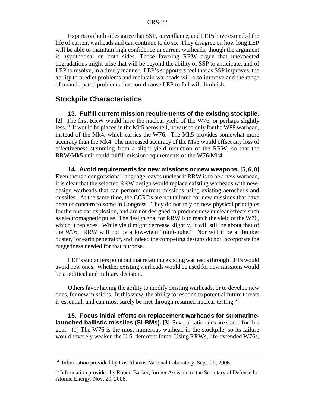Experts on both sides agree that SSP, surveillance, and LEPs have extended the life of current warheads and can continue to do so. They disagree on how long LEP will be able to maintain high confidence in current warheads, though the argument is hypothetical on both sides. Those favoring RRW argue that unexpected degradations might arise that will be beyond the ability of SSP to anticipate, and of LEP to resolve, in a timely manner. LEP's supporters feel that as SSP improves, the ability to predict problems and maintain warheads will also improve and the range of unanticipated problems that could cause LEP to fail will diminish.

#### **Stockpile Characteristics**

**13. Fulfill current mission requirements of the existing stockpile. [2]** The first RRW would have the nuclear yield of the W76, or perhaps slightly less.<sup>64</sup> It would be placed in the Mk5 aeroshell, now used only for the W88 warhead, instead of the Mk4, which carries the W76. The Mk5 provides somewhat more accuracy than the Mk4. The increased accuracy of the Mk5 would offset any loss of effectiveness stemming from a slight yield reduction of the RRW, so that the RRW/Mk5 unit could fulfill mission requirements of the W76/Mk4.

**14. Avoid requirements for new missions or new weapons. [5, 6, 8]** Even though congressional language leaves unclear if RRW is to be a new warhead, it is clear that the selected RRW design would replace existing warheads with newdesign warheads that can perform current missions using existing aeroshells and missiles. At the same time, the CCRDs are not tailored for new missions that have been of concern to some in Congress. They do not rely on new physical principles for the nuclear explosion, and are not designed to produce new nuclear effects such as electromagnetic pulse. The design goal for RRW is to match the yield of the W76, which it replaces. While yield might decrease slightly, it will still be about that of the W76. RRW will not be a low-yield "mini-nuke." Nor will it be a "bunker buster," or earth penetrator, and indeed the competing designs do not incorporate the ruggedness needed for that purpose.

LEP's supporters point out that retaining existing warheads through LEPs would avoid new ones. Whether existing warheads would be used for new missions would be a political and military decision.

Others favor having the ability to modify existing warheads, or to develop new ones, for new missions. In this view, the ability to respond to potential future threats is essential, and can most surely be met through resumed nuclear testing.<sup>65</sup>

**15. Focus initial efforts on replacement warheads for submarinelaunched ballistic missiles (SLBMs). [3]** Several rationales are stated for this goal. (1) The W76 is the most numerous warhead in the stockpile, so its failure would severely weaken the U.S. deterrent force. Using RRWs, life-extended W76s,

<sup>&</sup>lt;sup>64</sup> Information provided by Los Alamos National Laboratory, Sept. 20, 2006.

<sup>&</sup>lt;sup>65</sup> Information provided by Robert Barker, former Assistant to the Secretary of Defense for Atomic Energy, Nov. 29, 2006.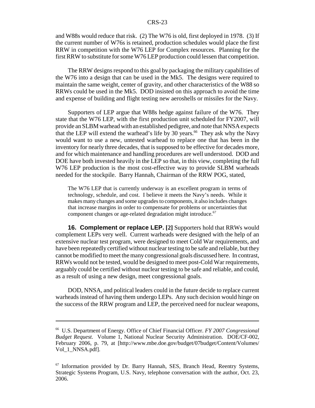and W88s would reduce that risk. (2) The W76 is old, first deployed in 1978. (3) If the current number of W76s is retained, production schedules would place the first RRW in competition with the W76 LEP for Complex resources. Planning for the first RRW to substitute for some W76 LEP production could lessen that competition.

The RRW designs respond to this goal by packaging the military capabilities of the W76 into a design that can be used in the Mk5. The designs were required to maintain the same weight, center of gravity, and other characteristics of the W88 so RRWs could be used in the Mk5. DOD insisted on this approach to avoid the time and expense of building and flight testing new aeroshells or missiles for the Navy.

Supporters of LEP argue that W88s hedge against failure of the W76. They state that the W76 LEP, with the first production unit scheduled for FY2007, will provide an SLBM warhead with an established pedigree, and note that NNSA expects that the LEP will extend the warhead's life by 30 years.<sup>66</sup> They ask why the Navy would want to use a new, untested warhead to replace one that has been in the inventory for nearly three decades, that is supposed to be effective for decades more, and for which maintenance and handling procedures are well understood. DOD and DOE have both invested heavily in the LEP so that, in this view, completing the full W76 LEP production is the most cost-effective way to provide SLBM warheads needed for the stockpile. Barry Hannah, Chairman of the RRW POG, stated,

The W76 LEP that is currently underway is an excellent program in terms of technology, schedule, and cost. I believe it meets the Navy's needs. While it makes many changes and some upgrades to components, it also includes changes that increase margins in order to compensate for problems or uncertainties that component changes or age-related degradation might introduce.<sup>67</sup>

**16. Complement or replace LEP. [2]** Supporters hold that RRWs would complement LEPs very well. Current warheads were designed with the help of an extensive nuclear test program, were designed to meet Cold War requirements, and have been repeatedly certified without nuclear testing to be safe and reliable, but they cannot be modified to meet the many congressional goals discussed here. In contrast, RRWs would not be tested, would be designed to meet post-Cold War requirements, arguably could be certified without nuclear testing to be safe and reliable, and could, as a result of using a new design, meet congressional goals.

DOD, NNSA, and political leaders could in the future decide to replace current warheads instead of having them undergo LEPs. Any such decision would hinge on the success of the RRW program and LEP, the perceived need for nuclear weapons,

<sup>66</sup> U.S. Department of Energy. Office of Chief Financial Officer. *FY 2007 Congressional Budget Request.* Volume 1, National Nuclear Security Administration. DOE/CF-002, February 2006, p. 79, at [http://www.mbe.doe.gov/budget/07budget/Content/Volumes/ Vol 1 NNSA.pdf].

<sup>67</sup> Information provided by Dr. Barry Hannah, SES, Branch Head, Reentry Systems, Strategic Systems Program, U.S. Navy, telephone conversation with the author, Oct. 23, 2006.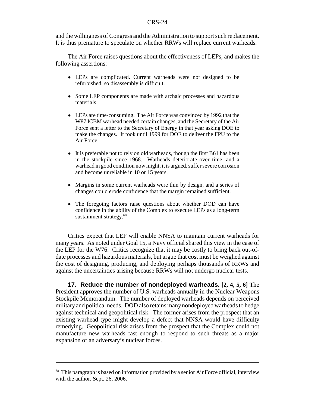and the willingness of Congress and the Administration to support such replacement. It is thus premature to speculate on whether RRWs will replace current warheads.

The Air Force raises questions about the effectiveness of LEPs, and makes the following assertions:

- ! LEPs are complicated. Current warheads were not designed to be refurbished, so disassembly is difficult.
- Some LEP components are made with archaic processes and hazardous materials.
- LEPs are time-consuming. The Air Force was convinced by 1992 that the W87 ICBM warhead needed certain changes, and the Secretary of the Air Force sent a letter to the Secretary of Energy in that year asking DOE to make the changes. It took until 1999 for DOE to deliver the FPU to the Air Force.
- It is preferable not to rely on old warheads, though the first B61 has been in the stockpile since 1968. Warheads deteriorate over time, and a warhead in good condition now might, it is argued, suffer severe corrosion and become unreliable in 10 or 15 years.
- Margins in some current warheads were thin by design, and a series of changes could erode confidence that the margin remained sufficient.
- The foregoing factors raise questions about whether DOD can have confidence in the ability of the Complex to execute LEPs as a long-term sustainment strategy.<sup>68</sup>

Critics expect that LEP will enable NNSA to maintain current warheads for many years. As noted under Goal 15, a Navy official shared this view in the case of the LEP for the W76. Critics recognize that it may be costly to bring back out-ofdate processes and hazardous materials, but argue that cost must be weighed against the cost of designing, producing, and deploying perhaps thousands of RRWs and against the uncertainties arising because RRWs will not undergo nuclear tests.

**17. Reduce the number of nondeployed warheads. [2, 4, 5, 6]** The President approves the number of U.S. warheads annually in the Nuclear Weapons Stockpile Memorandum. The number of deployed warheads depends on perceived military and political needs. DOD also retains many nondeployed warheads to hedge against technical and geopolitical risk. The former arises from the prospect that an existing warhead type might develop a defect that NNSA would have difficulty remedying. Geopolitical risk arises from the prospect that the Complex could not manufacture new warheads fast enough to respond to such threats as a major expansion of an adversary's nuclear forces.

<sup>&</sup>lt;sup>68</sup> This paragraph is based on information provided by a senior Air Force official, interview with the author, Sept. 26, 2006.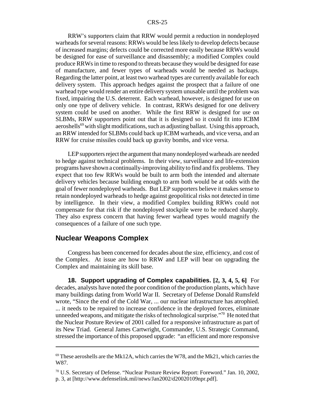RRW's supporters claim that RRW would permit a reduction in nondeployed warheads for several reasons: RRWs would be less likely to develop defects because of increased margins; defects could be corrected more easily because RRWs would be designed for ease of surveillance and disassembly; a modified Complex could produce RRWs in time to respond to threats because they would be designed for ease of manufacture, and fewer types of warheads would be needed as backups. Regarding the latter point, at least two warhead types are currently available for each delivery system. This approach hedges against the prospect that a failure of one warhead type would render an entire delivery system unusable until the problem was fixed, impairing the U.S. deterrent. Each warhead, however, is designed for use on only one type of delivery vehicle. In contrast, RRWs designed for one delivery system could be used on another. While the first RRW is designed for use on SLBMs, RRW supporters point out that it is designed so it could fit into ICBM aeroshells<sup>69</sup> with slight modifications, such as adjusting ballast. Using this approach, an RRW intended for SLBMs could back up ICBM warheads, and vice versa, and an RRW for cruise missiles could back up gravity bombs, and vice versa.

LEP supporters reject the argument that many nondeployed warheads are needed to hedge against technical problems. In their view, surveillance and life-extension programs have shown a continually-improving ability to find and fix problems. They expect that too few RRWs would be built to arm both the intended and alternate delivery vehicles because building enough to arm both would be at odds with the goal of fewer nondeployed warheads. But LEP supporters believe it makes sense to retain nondeployed warheads to hedge against geopolitical risks not detected in time by intelligence. In their view, a modified Complex building RRWs could not compensate for that risk if the nondeployed stockpile were to be reduced sharply. They also express concern that having fewer warhead types would magnify the consequences of a failure of one such type.

#### **Nuclear Weapons Complex**

Congress has been concerned for decades about the size, efficiency, and cost of the Complex. At issue are how to RRW and LEP will bear on upgrading the Complex and maintaining its skill base.

**18. Support upgrading of Complex capabilities. [2, 3, 4, 5, 6]** For decades, analysts have noted the poor condition of the production plants, which have many buildings dating from World War II. Secretary of Defense Donald Rumsfeld wrote, "Since the end of the Cold War, ... our nuclear infrastructure has atrophied. ... it needs to be repaired to increase confidence in the deployed forces, eliminate unneeded weapons, and mitigate the risks of technological surprise.<sup>"70</sup> He noted that the Nuclear Posture Review of 2001 called for a responsive infrastructure as part of its New Triad. General James Cartwright, Commander, U.S. Strategic Command, stressed the importance of this proposed upgrade: "an efficient and more responsive

 $69$  These aeroshells are the Mk12A, which carries the W78, and the Mk21, which carries the W87.

 $70$  U.S. Secretary of Defense. "Nuclear Posture Review Report: Foreword." Jan. 10, 2002, p. 3, at [http://www.defenselink.mil/news/Jan2002/d20020109npr.pdf].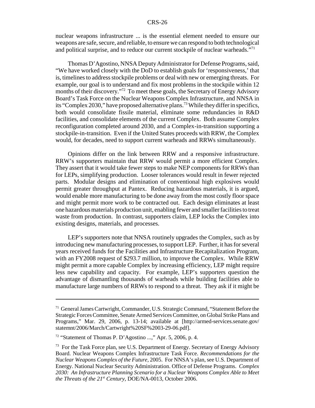nuclear weapons infrastructure ... is the essential element needed to ensure our weapons are safe, secure, and reliable, to ensure we can respond to both technological and political surprise, and to reduce our current stockpile of nuclear warheads."<sup>71</sup>

Thomas D'Agostino, NNSA Deputy Administrator for Defense Programs, said, "We have worked closely with the DoD to establish goals for 'responsiveness,' that is, timelines to address stockpile problems or deal with new or emerging threats. For example, our goal is to understand and fix most problems in the stockpile within 12 months of their discovery."72 To meet these goals, the Secretary of Energy Advisory Board's Task Force on the Nuclear Weapons Complex Infrastructure, and NNSA in its "Complex 2030," have proposed alternative plans.<sup>73</sup> While they differ in specifics, both would consolidate fissile material, eliminate some redundancies in R&D facilities, and consolidate elements of the current Complex. Both assume Complex reconfiguration completed around 2030, and a Complex-in-transition supporting a stockpile-in-transition. Even if the United States proceeds with RRW, the Complex would, for decades, need to support current warheads and RRWs simultaneously.

Opinions differ on the link between RRW and a responsive infrastructure. RRW's supporters maintain that RRW would permit a more efficient Complex. They assert that it would take fewer steps to make NEP components for RRWs than for LEPs, simplifying production. Looser tolerances would result in fewer rejected parts. Modular designs and elimination of conventional high explosives would permit greater throughput at Pantex. Reducing hazardous materials, it is argued, would enable more manufacturing to be done away from the most costly floor space and might permit more work to be contracted out. Each design eliminates at least one hazardous materials production unit, enabling fewer and smaller facilities to treat waste from production. In contrast, supporters claim, LEP locks the Complex into existing designs, materials, and processes.

LEP's supporters note that NNSA routinely upgrades the Complex, such as by introducing new manufacturing processes, to support LEP. Further, it has for several years received funds for the Facilities and Infrastructure Recapitalization Program, with an FY2008 request of \$293.7 million, to improve the Complex. While RRW might permit a more capable Complex by increasing efficiency, LEP might require less new capability and capacity. For example, LEP's supporters question the advantage of dismantling thousands of warheads while building facilities able to manufacture large numbers of RRWs to respond to a threat. They ask if it might be

<sup>71</sup> General James Cartwright, Commander, U.S. Strategic Command, "Statement Before the Strategic Forces Committee, Senate Armed Services Committee, on Global Strike Plans and Programs," Mar. 29, 2006, p. 13-14; available at [http://armed-services.senate.gov/ statemnt/2006/March/Cartwright%20SF%2003-29-06.pdf].

<sup>72 &</sup>quot;Statement of Thomas P. D'Agostino ...," Apr. 5, 2006, p. 4.

<sup>&</sup>lt;sup>73</sup> For the Task Force plan, see U.S. Department of Energy. Secretary of Energy Advisory Board. Nuclear Weapons Complex Infrastructure Task Force. *Recommendations for the Nuclear Weapons Complex of the Future,* 2005. For NNSA's plan, see U.S. Department of Energy. National Nuclear Security Administration. Office of Defense Programs. *Complex 2030: An Infrastructure Planning Scenario for a Nuclear Weapons Complex Able to Meet the Threats of the 21st Century,* DOE/NA-0013, October 2006.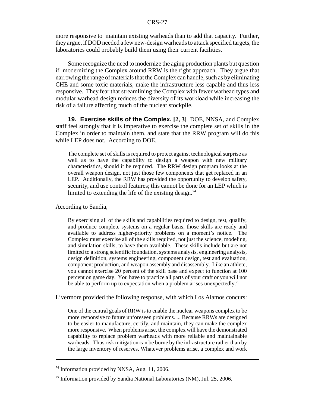more responsive to maintain existing warheads than to add that capacity. Further, they argue, if DOD needed a few new-design warheads to attack specified targets, the laboratories could probably build them using their current facilities.

Some recognize the need to modernize the aging production plants but question if modernizing the Complex around RRW is the right approach. They argue that narrowing the range of materials that the Complex can handle, such as by eliminating CHE and some toxic materials, make the infrastructure less capable and thus less responsive. They fear that streamlining the Complex with fewer warhead types and modular warhead design reduces the diversity of its workload while increasing the risk of a failure affecting much of the nuclear stockpile.

**19. Exercise skills of the Complex. [2, 3]** DOE, NNSA, and Complex staff feel strongly that it is imperative to exercise the complete set of skills in the Complex in order to maintain them, and state that the RRW program will do this while LEP does not. According to DOE,

The complete set of skills is required to protect against technological surprise as well as to have the capability to design a weapon with new military characteristics, should it be required. The RRW design program looks at the overall weapon design, not just those few components that get replaced in an LEP. Additionally, the RRW has provided the opportunity to develop safety, security, and use control features; this cannot be done for an LEP which is limited to extending the life of the existing design.<sup>74</sup>

According to Sandia,

By exercising all of the skills and capabilities required to design, test, qualify, and produce complete systems on a regular basis, those skills are ready and available to address higher-priority problems on a moment's notice. The Complex must exercise all of the skills required, not just the science, modeling, and simulation skills, to have them available. These skills include but are not limited to a strong scientific foundation, systems analysis, engineering analysis, design definition, systems engineering, component design, test and evaluation, component production, and weapon assembly and disassembly. Like an athlete, you cannot exercise 20 percent of the skill base and expect to function at 100 percent on game day. You have to practice all parts of your craft or you will not be able to perform up to expectation when a problem arises unexpectedly.<sup>75</sup>

Livermore provided the following response, with which Los Alamos concurs:

One of the central goals of RRW is to enable the nuclear weapons complex to be more responsive to future unforeseen problems. ... Because RRWs are designed to be easier to manufacture, certify, and maintain, they can make the complex more responsive. When problems arise, the complex will have the demonstrated capability to replace problem warheads with more reliable and maintainable warheads. Thus risk mitigation can be borne by the infrastructure rather than by the large inventory of reserves. Whatever problems arise, a complex and work

<sup>74</sup> Information provided by NNSA, Aug. 11, 2006.

<sup>75</sup> Information provided by Sandia National Laboratories (NM), Jul. 25, 2006.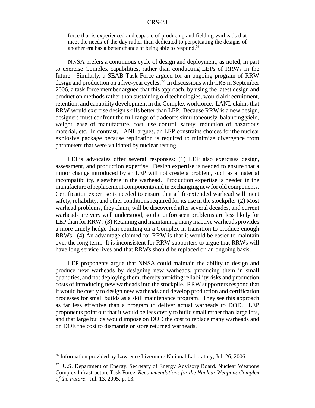force that is experienced and capable of producing and fielding warheads that meet the needs of the day rather than dedicated to perpetuating the designs of another era has a better chance of being able to respond.76

NNSA prefers a continuous cycle of design and deployment, as noted, in part to exercise Complex capabilities, rather than conducting LEPs of RRWs in the future. Similarly, a SEAB Task Force argued for an ongoing program of RRW design and production on a five-year cycles.<sup>77</sup> In discussions with CRS in September 2006, a task force member argued that this approach, by using the latest design and production methods rather than sustaining old technologies, would aid recruitment, retention, and capability development in the Complex workforce. LANL claims that RRW would exercise design skills better than LEP. Because RRW is a new design, designers must confront the full range of tradeoffs simultaneously, balancing yield, weight, ease of manufacture, cost, use control, safety, reduction of hazardous material, etc. In contrast, LANL argues, an LEP constrains choices for the nuclear explosive package because replication is required to minimize divergence from parameters that were validated by nuclear testing.

LEP's advocates offer several responses: (1) LEP also exercises design, assessment, and production expertise. Design expertise is needed to ensure that a minor change introduced by an LEP will not create a problem, such as a material incompatibility, elsewhere in the warhead. Production expertise is needed in the manufacture of replacement components and in exchanging new for old components. Certification expertise is needed to ensure that a life-extended warhead will meet safety, reliability, and other conditions required for its use in the stockpile. (2) Most warhead problems, they claim, will be discovered after several decades, and current warheads are very well understood, so the unforeseen problems are less likely for LEP than for RRW. (3) Retaining and maintaining many inactive warheads provides a more timely hedge than counting on a Complex in transition to produce enough RRWs. (4) An advantage claimed for RRW is that it would be easier to maintain over the long term. It is inconsistent for RRW supporters to argue that RRWs will have long service lives and that RRWs should be replaced on an ongoing basis.

LEP proponents argue that NNSA could maintain the ability to design and produce new warheads by designing new warheads, producing them in small quantities, and not deploying them, thereby avoiding reliability risks and production costs of introducing new warheads into the stockpile. RRW supporters respond that it would be costly to design new warheads and develop production and certification processes for small builds as a skill maintenance program. They see this approach as far less effective than a program to deliver actual warheads to DOD. LEP proponents point out that it would be less costly to build small rather than large lots, and that large builds would impose on DOD the cost to replace many warheads and on DOE the cost to dismantle or store returned warheads.

<sup>76</sup> Information provided by Lawrence Livermore National Laboratory, Jul. 26, 2006.

<sup>77</sup> U.S. Department of Energy. Secretary of Energy Advisory Board. Nuclear Weapons Complex Infrastructure Task Force. *Recommendations for the Nuclear Weapons Complex of the Future.* Jul. 13, 2005, p. 13.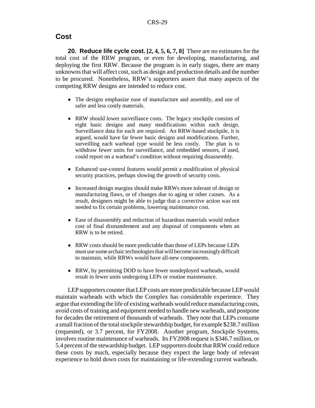### **Cost**

**20. Reduce life cycle cost. [2, 4, 5, 6, 7, 8]** There are no estimates for the total cost of the RRW program, or even for developing, manufacturing, and deploying the first RRW. Because the program is in early stages, there are many unknowns that will affect cost, such as design and production details and the number to be procured. Nonetheless, RRW's supporters assert that many aspects of the competing RRW designs are intended to reduce cost.

- The designs emphasize ease of manufacture and assembly, and use of safer and less costly materials.
- RRW should lower surveillance costs. The legacy stockpile consists of eight basic designs and many modifications within each design. Surveillance data for each are required. An RRW-based stockpile, it is argued, would have far fewer basic designs and modifications. Further, surveilling each warhead type would be less costly. The plan is to withdraw fewer units for surveillance, and embedded sensors, if used, could report on a warhead's condition without requiring disassembly.
- ! Enhanced use-control features would permit a modification of physical security practices, perhaps slowing the growth of security costs.
- Increased design margins should make RRWs more tolerant of design or manufacturing flaws, or of changes due to aging or other causes. As a result, designers might be able to judge that a corrective action was not needed to fix certain problems, lowering maintenance cost.
- Ease of disassembly and reduction of hazardous materials would reduce cost of final dismantlement and any disposal of components when an RRW is to be retired.
- RRW costs should be more predictable than those of LEPs because LEPs must use some archaic technologies that will become increasingly difficult to maintain, while RRWs would have all-new components.
- RRW, by permitting DOD to have fewer nondeployed warheads, would result in fewer units undergoing LEPs or routine maintenance.

LEP supporters counter that LEP costs are more predictable because LEP would maintain warheads with which the Complex has considerable experience. They argue that extending the life of existing warheads would reduce manufacturing costs, avoid costs of training and equipment needed to handle new warheads, and postpone for decades the retirement of thousands of warheads. They note that LEPs consume a small fraction of the total stockpile stewardship budget, for example \$238.7 million (requested), or 3.7 percent, for FY2008. Another program, Stockpile Systems, involves routine maintenance of warheads. Its FY2008 request is \$346.7 million, or 5.4 percent of the stewardship budget. LEP supporters doubt that RRW could reduce these costs by much, especially because they expect the large body of relevant experience to hold down costs for maintaining or life-extending current warheads.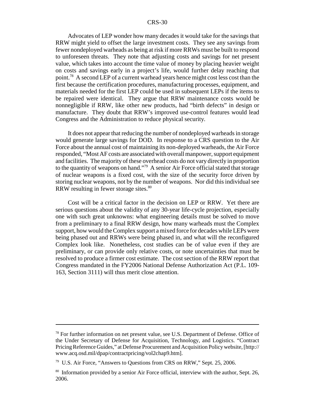Advocates of LEP wonder how many decades it would take for the savings that RRW might yield to offset the large investment costs. They see any savings from fewer nondeployed warheads as being at risk if more RRWs must be built to respond to unforeseen threats. They note that adjusting costs and savings for net present value, which takes into account the time value of money by placing heavier weight on costs and savings early in a project's life, would further delay reaching that point.78 A second LEP of a current warhead years hence might cost less cost than the first because the certification procedures, manufacturing processes, equipment, and materials needed for the first LEP could be used in subsequent LEPs if the items to be repaired were identical. They argue that RRW maintenance costs would be nonnegligible if RRW, like other new products, had "birth defects" in design or manufacture. They doubt that RRW's improved use-control features would lead Congress and the Administration to reduce physical security.

It does not appear that reducing the number of nondeployed warheads in storage would generate large savings for DOD. In response to a CRS question to the Air Force about the annual cost of maintaining its non-deployed warheads, the Air Force responded, "Most AF costs are associated with overall manpower, support equipment and facilities. The majority of these overhead costs do not vary directly in proportion to the quantity of weapons on hand."<sup>79</sup> A senior Air Force official stated that storage of nuclear weapons is a fixed cost, with the size of the security force driven by storing nuclear weapons, not by the number of weapons. Nor did this individual see RRW resulting in fewer storage sites.<sup>80</sup>

Cost will be a critical factor in the decision on LEP or RRW. Yet there are serious questions about the validity of any 30-year life-cycle projection, especially one with such great unknowns: what engineering details must be solved to move from a preliminary to a final RRW design, how many warheads must the Complex support, how would the Complex support a mixed force for decades while LEPs were being phased out and RRWs were being phased in, and what will the reconfigured Complex look like. Nonetheless, cost studies can be of value even if they are preliminary, or can provide only relative costs, or note uncertainties that must be resolved to produce a firmer cost estimate. The cost section of the RRW report that Congress mandated in the FY2006 National Defense Authorization Act (P.L. 109- 163, Section 3111) will thus merit close attention.

 $<sup>78</sup>$  For further information on net present value, see U.S. Department of Defense. Office of</sup> the Under Secretary of Defense for Acquisition, Technology, and Logistics. "Contract Pricing Reference Guides," at Defense Procurement and Acquisition Policy website, [http:// www.acq.osd.mil/dpap/contractpricing/vol2chap9.htm].

<sup>&</sup>lt;sup>79</sup> U.S. Air Force, "Answers to Questions from CRS on RRW," Sept. 25, 2006.

<sup>&</sup>lt;sup>80</sup> Information provided by a senior Air Force official, interview with the author, Sept. 26, 2006.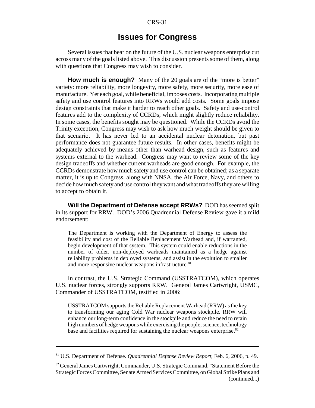# **Issues for Congress**

Several issues that bear on the future of the U.S. nuclear weapons enterprise cut across many of the goals listed above. This discussion presents some of them, along with questions that Congress may wish to consider.

**How much is enough?** Many of the 20 goals are of the "more is better" variety: more reliability, more longevity, more safety, more security, more ease of manufacture. Yet each goal, while beneficial, imposes costs. Incorporating multiple safety and use control features into RRWs would add costs. Some goals impose design constraints that make it harder to reach other goals. Safety and use-control features add to the complexity of CCRDs, which might slightly reduce reliability. In some cases, the benefits sought may be questioned. While the CCRDs avoid the Trinity exception, Congress may wish to ask how much weight should be given to that scenario. It has never led to an accidental nuclear detonation, but past performance does not guarantee future results. In other cases, benefits might be adequately achieved by means other than warhead design, such as features and systems external to the warhead. Congress may want to review some of the key design tradeoffs and whether current warheads are good enough. For example, the CCRDs demonstrate how much safety and use control can be obtained; as a separate matter, it is up to Congress, along with NNSA, the Air Force, Navy, and others to decide how much safety and use control they want and what tradeoffs they are willing to accept to obtain it.

**Will the Department of Defense accept RRWs?** DOD has seemed split in its support for RRW. DOD's 2006 Quadrennial Defense Review gave it a mild endorsement:

The Department is working with the Department of Energy to assess the feasibility and cost of the Reliable Replacement Warhead and, if warranted, begin development of that system. This system could enable reductions in the number of older, non-deployed warheads maintained as a hedge against reliability problems in deployed systems, and assist in the evolution to smaller and more responsive nuclear weapons infrastructure.<sup>81</sup>

In contrast, the U.S. Strategic Command (USSTRATCOM), which operates U.S. nuclear forces, strongly supports RRW. General James Cartwright, USMC, Commander of USSTRATCOM, testified in 2006:

USSTRATCOM supports the Reliable Replacement Warhead (RRW) as the key to transforming our aging Cold War nuclear weapons stockpile. RRW will enhance our long-term confidence in the stockpile and reduce the need to retain high numbers of hedge weapons while exercising the people, science, technology base and facilities required for sustaining the nuclear weapons enterprise.<sup>82</sup>

<sup>81</sup> U.S. Department of Defense. *Quadrennial Defense Review Report,* Feb. 6, 2006, p. 49.

<sup>&</sup>lt;sup>82</sup> General James Cartwright, Commander, U.S. Strategic Command, "Statement Before the Strategic Forces Committee, Senate Armed Services Committee, on Global Strike Plans and (continued...)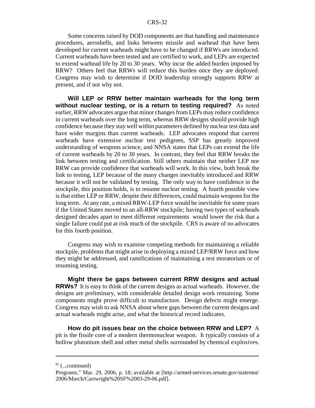Some concerns raised by DOD components are that handling and maintenance procedures, aeroshells, and links between missile and warhead that have been developed for current warheads might have to be changed if RRWs are introduced. Current warheads have been tested and are certified to work, and LEPs are expected to extend warhead life by 20 to 30 years. Why incur the added burden imposed by RRW? Others feel that RRWs will reduce this burden once they are deployed. Congress may wish to determine if DOD leadership strongly supports RRW at present, and if not why not.

**Will LEP or RRW better maintain warheads for the long term without nuclear testing, or is a return to testing required?** As noted earlier, RRW advocates argue that minor changes from LEPs may reduce confidence in current warheads over the long term, whereas RRW designs should provide high confidence because they stay well within parameters defined by nuclear test data and have wider margins than current warheads. LEP advocates respond that current warheads have extensive nuclear test pedigrees, SSP has greatly improved understanding of weapons science, and NNSA states that LEPs can extend the life of current warheads by 20 to 30 years. In contrast, they feel that RRW breaks the link between testing and certification. Still others maintain that neither LEP nor RRW can provide confidence that warheads will work. In this view, both break the link to testing, LEP because of the many changes inevitably introduced and RRW because it will not be validated by testing. The only way to have confidence in the stockpile, this position holds, is to resume nuclear testing. A fourth possible view is that either LEP or RRW, despite their differences, could maintain weapons for the long term. At any rate, a mixed RRW-LEP force would be inevitable for some years if the United States moved to an all-RRW stockpile; having two types of warheads designed decades apart to meet different requirements would lower the risk that a single failure could put at risk much of the stockpile. CRS is aware of no advocates for this fourth position.

Congress may wish to examine competing methods for maintaining a reliable stockpile, problems that might arise in deploying a mixed LEP/RRW force and how they might be addressed, and ramifications of maintaining a test moratorium or of resuming testing.

**Might there be gaps between current RRW designs and actual RRWs?** It is easy to think of the current designs as actual warheads. However, the designs are preliminary, with considerable detailed design work remaining. Some components might prove difficult to manufacture. Design defects might emerge. Congress may wish to ask NNSA about where gaps between the current designs and actual warheads might arise, and what the historical record indicates.

**How do pit issues bear on the choice between RRW and LEP?** A pit is the fissile core of a modern thermonuclear weapon. It typically consists of a hollow plutonium shell and other metal shells surrounded by chemical explosives.

 $82$  (...continued)

Programs," Mar. 29, 2006, p. 18; available at [http://armed-services.senate.gov/statemnt/ 2006/March/Cartwright%20SF%2003-29-06.pdf].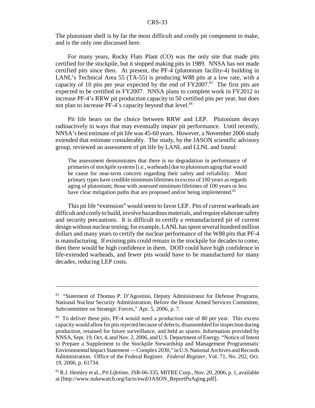The plutonium shell is by far the most difficult and costly pit component to make, and is the only one discussed here.

For many years, Rocky Flats Plant (CO) was the only site that made pits certified for the stockpile, but it stopped making pits in 1989. NNSA has not made certified pits since then. At present, the PF-4 (plutonium facility-4) building in LANL's Technical Area 55 (TA-55) is producing W88 pits at a low rate, with a capacity of 10 pits per year expected by the end of  $FY2007$ .<sup>83</sup> The first pits are expected to be certified in FY2007. NNSA plans to complete work in FY2012 to increase PF-4's RRW pit production capacity to 50 certified pits per year, but does not plan to increase PF-4's capacity beyond that level.<sup>84</sup>

Pit life bears on the choice between RRW and LEP. Plutonium decays radioactively in ways that may eventually impair pit performance. Until recently, NNSA's best estimate of pit life was 45-60 years. However, a November 2006 study extended that estimate considerably. The study, by the JASON scientific advisory group, reviewed an assessment of pit life by LANL and LLNL and found:

The assessment demonstrates that there is no degradation in performance of primaries of stockpile systems [i.e., warheads] due to plutonium aging that would be cause for near-term concern regarding their safety and reliability. Most primary types have credible minimum lifetimes in excess of 100 years as regards aging of plutonium; those with assessed minimum lifetimes of 100 years or less have clear mitigation paths that are proposed and/or being implemented.<sup>85</sup>

This pit life "extension" would seem to favor LEP. Pits of current warheads are difficult and costly to build, involve hazardous materials, and require elaborate safety and security precautions. It is difficult to certify a remanufactured pit of current design without nuclear testing; for example, LANL has spent several hundred million dollars and many years to certify the nuclear performance of the W88 pits that PF-4 is manufacturing. If existing pits could remain in the stockpile for decades to come, then there would be high confidence in them. DOD could have high confidence in life-extended warheads, and fewer pits would have to be manufactured for many decades, reducing LEP costs.

<sup>&</sup>lt;sup>83</sup> "Statement of Thomas P. D'Agostino, Deputy Administrator for Defense Programs, National Nuclear Security Administration, Before the House Armed Services Committee, Subcommittee on Strategic Forces," Apr. 5, 2006, p. 7.

<sup>&</sup>lt;sup>84</sup> To deliver these pits, PF-4 would need a production rate of 80 per year. This excess capacity would allow for pits rejected because of defects, disassembled for inspection during production, retained for future surveillance, and held as spares. Information provided by NNSA, Sept. 19, Oct. 4, and Nov. 2, 2006, and U.S. Department of Energy. "Notice of Intent to Prepare a Supplement to the Stockpile Stewardship and Management Programmatic Environmental Impact Statement — Complex 2030," in U.S. National Archives and Records Administration. Office of the Federal Register. *Federal Register,* Vol. 71, No. 202, Oct. 19, 2006, p. 61734.

<sup>85</sup> R.J. Hemley et al., *Pit Lifetime,* JSR-06-335, MITRE Corp., Nov. 20, 2006, p. 1, available at [http://www.nukewatch.org/facts/nwd/JASON\_ReportPuAging.pdf].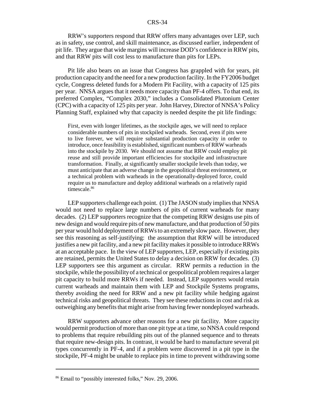RRW's supporters respond that RRW offers many advantages over LEP, such as in safety, use control, and skill maintenance, as discussed earlier, independent of pit life. They argue that wide margins will increase DOD's confidence in RRW pits, and that RRW pits will cost less to manufacture than pits for LEPs.

Pit life also bears on an issue that Congress has grappled with for years, pit production capacity and the need for a new production facility. In the FY2006 budget cycle, Congress deleted funds for a Modern Pit Facility, with a capacity of 125 pits per year. NNSA argues that it needs more capacity than PF-4 offers. To that end, its preferred Complex, "Complex 2030," includes a Consolidated Plutonium Center (CPC) with a capacity of 125 pits per year. John Harvey, Director of NNSA's Policy Planning Staff, explained why that capacity is needed despite the pit life findings:

First, even with longer lifetimes, as the stockpile ages, we will need to replace considerable numbers of pits in stockpiled warheads. Second, even if pits were to live forever, we will require substantial production capacity in order to introduce, once feasibility is established, significant numbers of RRW warheads into the stockpile by 2030. We should not assume that RRW could employ pit reuse and still provide important efficiencies for stockpile and infrastructure transformation. Finally, at significantly smaller stockpile levels than today, we must anticipate that an adverse change in the geopolitical threat environment, or a technical problem with warheads in the operationally-deployed force, could require us to manufacture and deploy additional warheads on a relatively rapid timescale.<sup>86</sup>

LEP supporters challenge each point. (1) The JASON study implies that NNSA would not need to replace large numbers of pits of current warheads for many decades. (2) LEP supporters recognize that the competing RRW designs use pits of new design and would require pits of new manufacture, and that production of 50 pits per year would hold deployment of RRWs to an extremely slow pace. However, they see this reasoning as self-justifying: the assumption that RRW will be introduced justifies a new pit facility, and a new pit facility makes it possible to introduce RRWs at an acceptable pace. In the view of LEP supporters, LEP, especially if existing pits are retained, permits the United States to delay a decision on RRW for decades. (3) LEP supporters see this argument as circular. RRW permits a reduction in the stockpile, while the possibility of a technical or geopolitical problem requires a larger pit capacity to build more RRWs if needed. Instead, LEP supporters would retain current warheads and maintain them with LEP and Stockpile Systems programs, thereby avoiding the need for RRW and a new pit facility while hedging against technical risks and geopolitical threats. They see these reductions in cost and risk as outweighing any benefits that might arise from having fewer nondeployed warheads.

RRW supporters advance other reasons for a new pit facility. More capacity would permit production of more than one pit type at a time, so NNSA could respond to problems that require rebuilding pits out of the planned sequence and to threats that require new-design pits. In contrast, it would be hard to manufacture several pit types concurrently in PF-4, and if a problem were discovered in a pit type in the stockpile, PF-4 might be unable to replace pits in time to prevent withdrawing some

<sup>86</sup> Email to "possibly interested folks," Nov. 29, 2006.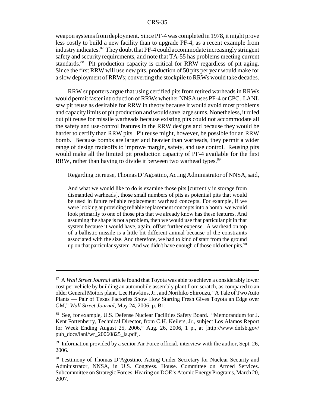weapon systems from deployment. Since PF-4 was completed in 1978, it might prove less costly to build a new facility than to upgrade PF-4, as a recent example from industry indicates.87 They doubt that PF-4 could accommodate increasingly stringent safety and security requirements, and note that TA-55 has problems meeting current standards.<sup>88</sup> Pit production capacity is critical for RRW regardless of pit aging. Since the first RRW will use new pits, production of 50 pits per year would make for a slow deployment of RRWs; converting the stockpile to RRWs would take decades.

RRW supporters argue that using certified pits from retired warheads in RRWs would permit faster introduction of RRWs whether NNSA uses PF-4 or CPC. LANL saw pit reuse as desirable for RRW in theory because it would avoid most problems and capacity limits of pit production and would save large sums. Nonetheless, it ruled out pit reuse for missile warheads because existing pits could not accommodate all the safety and use-control features in the RRW designs and because they would be harder to certify than RRW pits. Pit reuse might, however, be possible for an RRW bomb. Because bombs are larger and heavier than warheads, they permit a wider range of design tradeoffs to improve margin, safety, and use control. Reusing pits would make all the limited pit production capacity of PF-4 available for the first RRW, rather than having to divide it between two warhead types.<sup>89</sup>

Regarding pit reuse, Thomas D'Agostino, Acting Administrator of NNSA, said,

And what we would like to do is examine those pits [currently in storage from dismantled warheads], those small numbers of pits as potential pits that would be used in future reliable replacement warhead concepts. For example, if we were looking at providing reliable replacement concepts into a bomb, we would look primarily to one of those pits that we already know has these features. And assuming the shape is not a problem, then we would use that particular pit in that system because it would have, again, offset further expense. A warhead on top of a ballistic missile is a little bit different animal because of the constraints associated with the size. And therefore, we had to kind of start from the ground up on that particular system. And we didn't have enough of those old other pits.<sup>90</sup>

<sup>87</sup> A *Wall Street Journal* article found that Toyota was able to achieve a considerably lower cost per vehicle by building an automobile assembly plant from scratch, as compared to an older General Motors plant. Lee Hawkins, Jr., and Norihiko Shirouzu, "A Tale of Two Auto Plants — Pair of Texas Factories Show How Starting Fresh Gives Toyota an Edge over GM," *Wall Street Journal,* May 24, 2006, p. B1.

<sup>88</sup> See, for example, U.S. Defense Nuclear Facilities Safety Board. "Memorandum for J. Kent Fortenberry, Technical Director, from C.H. Keilers, Jr., subject Los Alamos Report for Week Ending August 25, 2006," Aug. 26, 2006, 1 p., at  $[http://www.dnfsb.gov/$ pub\_docs/lanl/wr\_20060825\_la.pdf].

<sup>&</sup>lt;sup>89</sup> Information provided by a senior Air Force official, interview with the author, Sept. 26, 2006.

<sup>&</sup>lt;sup>90</sup> Testimony of Thomas D'Agostino, Acting Under Secretary for Nuclear Security and Administrator, NNSA, in U.S. Congress. House. Committee on Armed Services. Subcommittee on Strategic Forces. Hearing on DOE's Atomic Energy Programs, March 20, 2007.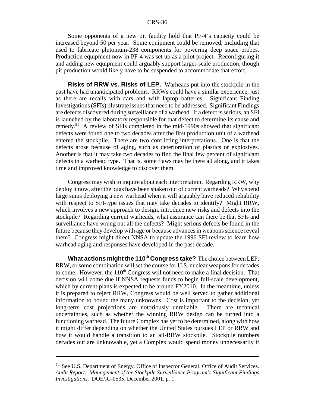Some opponents of a new pit facility hold that PF-4's capacity could be increased beyond 50 per year. Some equipment could be removed, including that used to fabricate plutonium-238 components for powering deep space probes. Production equipment now in PF-4 was set up as a pilot project. Reconfiguring it and adding new equipment could arguably support larger-scale production, though pit production would likely have to be suspended to accommodate that effort.

**Risks of RRW vs. Risks of LEP.** Warheads put into the stockpile in the past have had unanticipated problems. RRWs could have a similar experience, just as there are recalls with cars and with laptop batteries. Significant Finding Investigations (SFIs) illustrate issues that need to be addressed. Significant Findings are defects discovered during surveillance of a warhead. If a defect is serious, an SFI is launched by the laboratory responsible for that defect to determine its cause and remedy.91 A review of SFIs completed in the mid-1990s showed that significant defects were found one to two decades after the first production unit of a warhead entered the stockpile. There are two conflicting interpretations. One is that the defects arose because of aging, such as deterioration of plastics or explosives. Another is that it may take two decades to find the final few percent of significant defects in a warhead type. That is, some flaws may be there all along, and it takes time and improved knowledge to discover them.

Congress may wish to inquire about each interpretation. Regarding RRW, why deploy it now, after the bugs have been shaken out of current warheads? Why spend large sums deploying a new warhead when it will arguably have reduced reliability with respect to SFI-type issues that may take decades to identify? Might RRW, which involves a new approach to design, introduce new risks and defects into the stockpile? Regarding current warheads, what assurance can there be that SFIs and surveillance have wrung out all the defects? Might serious defects be found in the future because they develop with age or because advances in weapons science reveal them? Congress might direct NNSA to update the 1996 SFI review to learn how warhead aging and responses have developed in the past decade.

**What actions might the 110th Congress take?** The choice between LEP, RRW, or some combination will set the course for U.S. nuclear weapons for decades to come. However, the  $110<sup>th</sup>$  Congress will not need to make a final decision. That decision will come due if NNSA requests funds to begin full-scale development, which by current plans is expected to be around FY2010. In the meantime, unless it is prepared to reject RRW, Congress would be well served to gather additional information to bound the many unknowns. Cost is important to the decision, yet long-term cost projections are notoriously unreliable. There are technical uncertainties, such as whether the winning RRW design can be turned into a functioning warhead. The future Complex has yet to be determined, along with how it might differ depending on whether the United States pursues LEP or RRW and how it would handle a transition to an all-RRW stockpile. Stockpile numbers decades out are unknowable, yet a Complex would spend money unnecessarily if

<sup>&</sup>lt;sup>91</sup> See U.S. Department of Energy. Office of Inspector General. Office of Audit Services. *Audit Report: Management of the Stockpile Surveillance Program's Significant Findings Investigations.* DOE/IG-0535, December 2001, p. 1.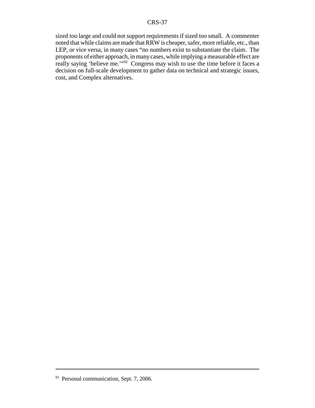sized too large and could not support requirements if sized too small. A commenter noted that while claims are made that RRW is cheaper, safer, more reliable, etc., than LEP, or vice versa, in many cases "no numbers exist to substantiate the claim. The proponents of either approach, in many cases, while implying a measurable effect are really saying 'believe me.'" $92$ ' Congress may wish to use the time before it faces a decision on full-scale development to gather data on technical and strategic issues, cost, and Complex alternatives.

<sup>&</sup>lt;sup>92</sup> Personal communication, Sept. 7, 2006.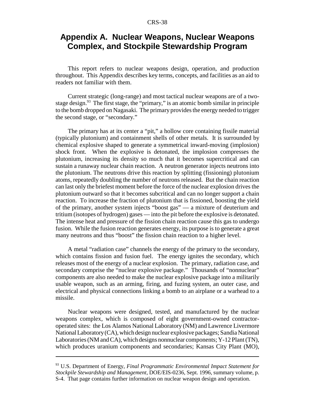# **Appendix A. Nuclear Weapons, Nuclear Weapons Complex, and Stockpile Stewardship Program**

This report refers to nuclear weapons design, operation, and production throughout. This Appendix describes key terms, concepts, and facilities as an aid to readers not familiar with them.

Current strategic (long-range) and most tactical nuclear weapons are of a twostage design.<sup>93</sup> The first stage, the "primary," is an atomic bomb similar in principle to the bomb dropped on Nagasaki. The primary provides the energy needed to trigger the second stage, or "secondary."

The primary has at its center a "pit," a hollow core containing fissile material (typically plutonium) and containment shells of other metals. It is surrounded by chemical explosive shaped to generate a symmetrical inward-moving (implosion) shock front. When the explosive is detonated, the implosion compresses the plutonium, increasing its density so much that it becomes supercritical and can sustain a runaway nuclear chain reaction. A neutron generator injects neutrons into the plutonium. The neutrons drive this reaction by splitting (fissioning) plutonium atoms, repeatedly doubling the number of neutrons released. But the chain reaction can last only the briefest moment before the force of the nuclear explosion drives the plutonium outward so that it becomes subcritical and can no longer support a chain reaction. To increase the fraction of plutonium that is fissioned, boosting the yield of the primary, another system injects "boost gas" — a mixture of deuterium and tritium (isotopes of hydrogen) gases — into the pit before the explosive is detonated. The intense heat and pressure of the fission chain reaction cause this gas to undergo fusion. While the fusion reaction generates energy, its purpose is to generate a great many neutrons and thus "boost" the fission chain reaction to a higher level.

A metal "radiation case" channels the energy of the primary to the secondary, which contains fission and fusion fuel. The energy ignites the secondary, which releases most of the energy of a nuclear explosion. The primary, radiation case, and secondary comprise the "nuclear explosive package." Thousands of "nonnuclear" components are also needed to make the nuclear explosive package into a militarily usable weapon, such as an arming, firing, and fuzing system, an outer case, and electrical and physical connections linking a bomb to an airplane or a warhead to a missile.

Nuclear weapons were designed, tested, and manufactured by the nuclear weapons complex, which is composed of eight government-owned contractoroperated sites: the Los Alamos National Laboratory (NM) and Lawrence Livermore National Laboratory (CA), which design nuclear explosive packages; Sandia National Laboratories (NM and CA), which designs nonnuclear components; Y-12 Plant (TN), which produces uranium components and secondaries; Kansas City Plant (MO),

<sup>93</sup> U.S. Department of Energy, *Final Programmatic Environmental Impact Statement for Stockpile Stewardship and Management,* DOE/EIS-0236, Sept. 1996, summary volume, p. S-4. That page contains further information on nuclear weapon design and operation.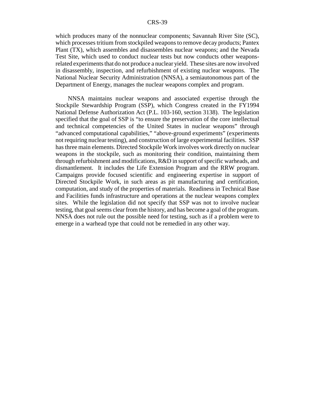which produces many of the nonnuclear components; Savannah River Site (SC), which processes tritium from stockpiled weapons to remove decay products; Pantex Plant (TX), which assembles and disassembles nuclear weapons; and the Nevada Test Site, which used to conduct nuclear tests but now conducts other weaponsrelated experiments that do not produce a nuclear yield. These sites are now involved in disassembly, inspection, and refurbishment of existing nuclear weapons. The National Nuclear Security Administration (NNSA), a semiautonomous part of the Department of Energy, manages the nuclear weapons complex and program.

NNSA maintains nuclear weapons and associated expertise through the Stockpile Stewardship Program (SSP), which Congress created in the FY1994 National Defense Authorization Act (P.L. 103-160, section 3138). The legislation specified that the goal of SSP is "to ensure the preservation of the core intellectual and technical competencies of the United States in nuclear weapons" through "advanced computational capabilities," "above-ground experiments" (experiments not requiring nuclear testing), and construction of large experimental facilities. SSP has three main elements. Directed Stockpile Work involves work directly on nuclear weapons in the stockpile, such as monitoring their condition, maintaining them through refurbishment and modifications, R&D in support of specific warheads, and dismantlement. It includes the Life Extension Program and the RRW program. Campaigns provide focused scientific and engineering expertise in support of Directed Stockpile Work, in such areas as pit manufacturing and certification, computation, and study of the properties of materials. Readiness in Technical Base and Facilities funds infrastructure and operations at the nuclear weapons complex sites. While the legislation did not specify that SSP was not to involve nuclear testing, that goal seems clear from the history, and has become a goal of the program. NNSA does not rule out the possible need for testing, such as if a problem were to emerge in a warhead type that could not be remedied in any other way.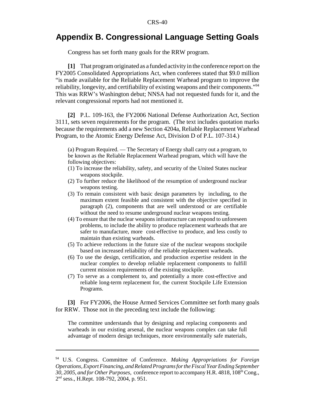# **Appendix B. Congressional Language Setting Goals**

Congress has set forth many goals for the RRW program.

**[1]** That program originated as a funded activity in the conference report on the FY2005 Consolidated Appropriations Act, when conferees stated that \$9.0 million "is made available for the Reliable Replacement Warhead program to improve the reliability, longevity, and certifiability of existing weapons and their components."94 This was RRW's Washington debut; NNSA had not requested funds for it, and the relevant congressional reports had not mentioned it.

**[2]** P.L. 109-163, the FY2006 National Defense Authorization Act, Section 3111, sets seven requirements for the program. (The text includes quotation marks because the requirements add a new Section 4204a, Reliable Replacement Warhead Program, to the Atomic Energy Defense Act, Division D of P.L. 107-314.)

(a) Program Required. — The Secretary of Energy shall carry out a program, to be known as the Reliable Replacement Warhead program, which will have the following objectives:

- (1) To increase the reliability, safety, and security of the United States nuclear weapons stockpile.
- (2) To further reduce the likelihood of the resumption of underground nuclear weapons testing.
- (3) To remain consistent with basic design parameters by including, to the maximum extent feasible and consistent with the objective specified in paragraph (2), components that are well understood or are certifiable without the need to resume underground nuclear weapons testing.
- (4) To ensure that the nuclear weapons infrastructure can respond to unforeseen problems, to include the ability to produce replacement warheads that are safer to manufacture, more cost-effective to produce, and less costly to maintain than existing warheads.
- (5) To achieve reductions in the future size of the nuclear weapons stockpile based on increased reliability of the reliable replacement warheads.
- (6) To use the design, certification, and production expertise resident in the nuclear complex to develop reliable replacement components to fulfill current mission requirements of the existing stockpile.
- (7) To serve as a complement to, and potentially a more cost-effective and reliable long-term replacement for, the current Stockpile Life Extension Programs.

**[3]** For FY2006, the House Armed Services Committee set forth many goals for RRW. Those not in the preceding text include the following:

The committee understands that by designing and replacing components and warheads in our existing arsenal, the nuclear weapons complex can take full advantage of modern design techniques, more environmentally safe materials,

<sup>94</sup> U.S. Congress. Committee of Conference. *Making Appropriations for Foreign Operations, Export Financing, and Related Programs for the Fiscal Year Ending September* 30, 2005, and for Other Purposes, conference report to accompany H.R. 4818, 108<sup>th</sup> Cong., 2nd sess., H.Rept. 108-792, 2004, p. 951.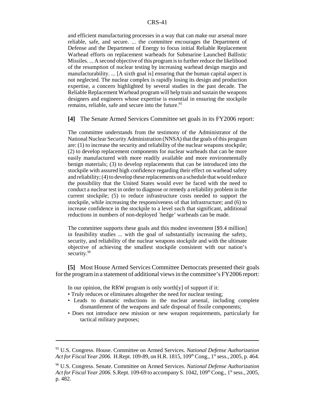and efficient manufacturing processes in a way that can make our arsenal more reliable, safe, and secure. ... the committee encourages the Department of Defense and the Department of Energy to focus initial Reliable Replacement Warhead efforts on replacement warheads for Submarine Launched Ballistic Missiles. ... A second objective of this program is to further reduce the likelihood of the resumption of nuclear testing by increasing warhead design margin and manufacturability. ... [A sixth goal is] ensuring that the human capital aspect is not neglected. The nuclear complex is rapidly losing its design and production expertise, a concern highlighted by several studies in the past decade. The Reliable Replacement Warhead program will help train and sustain the weapons designers and engineers whose expertise is essential in ensuring the stockpile remains, reliable, safe and secure into the future.<sup>95</sup>

**[4]** The Senate Armed Services Committee set goals in its FY2006 report:

The committee understands from the testimony of the Administrator of the National Nuclear Security Administration (NNSA) that the goals of this program are: (1) to increase the security and reliability of the nuclear weapons stockpile; (2) to develop replacement components for nuclear warheads that can be more easily manufactured with more readily available and more environmentally benign materials; (3) to develop replacements that can be introduced into the stockpile with assured high confidence regarding their effect on warhead safety and reliability; (4) to develop these replacements on a schedule that would reduce the possibility that the United States would ever be faced with the need to conduct a nuclear test in order to diagnose or remedy a reliability problem in the current stockpile; (5) to reduce infrastructure costs needed to support the stockpile, while increasing the responsiveness of that infrastructure; and (6) to increase confidence in the stockpile to a level such that significant, additional reductions in numbers of non-deployed `hedge' warheads can be made.

The committee supports these goals and this modest investment [\$9.4 million] in feasibility studies ... with the goal of substantially increasing the safety, security, and reliability of the nuclear weapons stockpile and with the ultimate objective of achieving the smallest stockpile consistent with our nation's security.<sup>96</sup>

**[5]** Most House Armed Services Committee Democrats presented their goals for the program in a statement of additional views in the committee's FY2006 report:

In our opinion, the RRW program is only worth $[y]$  of support if it:

- Truly reduces or eliminates altogether the need for nuclear testing;
- Leads to dramatic reductions in the nuclear arsenal, including complete dismantlement of the weapons and safe disposal of fissile components;
- Does not introduce new mission or new weapon requirements, particularly for tactical military purposes;

<sup>95</sup> U.S. Congress. House. Committee on Armed Services. *National Defense Authorization Act for Fiscal Year 2006.* H.Rept. 109-89, on H.R. 1815, 109<sup>th</sup> Cong., 1<sup>st</sup> sess., 2005, p. 464.

<sup>96</sup> U.S. Congress. Senate. Committee on Armed Services. *National Defense Authorization Act for Fiscal Year 2006.* S.Rept. 109-69 to accompany S. 1042, 109<sup>th</sup> Cong., 1<sup>st</sup> sess., 2005, p. 482.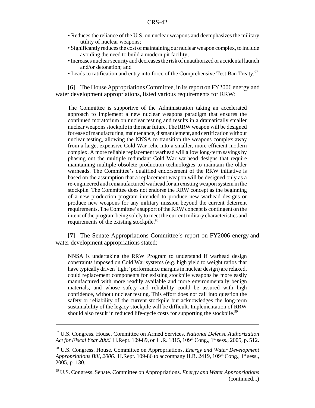- Reduces the reliance of the U.S. on nuclear weapons and deemphasizes the military utility of nuclear weapons;
- Significantly reduces the cost of maintaining our nuclear weapon complex, to include avoiding the need to build a modern pit facility;
- Increases nuclear security and decreases the risk of unauthorized or accidental launch and/or detonation; and
- Leads to ratification and entry into force of the Comprehensive Test Ban Treaty.<sup>97</sup>

**[6]** The House Appropriations Committee, in its report on FY2006 energy and water development appropriations, listed various requirements for RRW:

The Committee is supportive of the Administration taking an accelerated approach to implement a new nuclear weapons paradigm that ensures the continued moratorium on nuclear testing and results in a dramatically smaller nuclear weapons stockpile in the near future. The RRW weapon will be designed for ease of manufacturing, maintenance, dismantlement, and certification without nuclear testing, allowing the NNSA to transition the weapons complex away from a large, expensive Cold War relic into a smaller, more efficient modern complex. A more reliable replacement warhead will allow long-term savings by phasing out the multiple redundant Cold War warhead designs that require maintaining multiple obsolete production technologies to maintain the older warheads. The Committee's qualified endorsement of the RRW initiative is based on the assumption that a replacement weapon will be designed only as a re-engineered and remanufactured warhead for an existing weapon system in the stockpile. The Committee does not endorse the RRW concept as the beginning of a new production program intended to produce new warhead designs or produce new weapons for any military mission beyond the current deterrent requirements. The Committee's support of the RRW concept is contingent on the intent of the program being solely to meet the current military characteristics and requirements of the existing stockpile.<sup>98</sup>

**[7]** The Senate Appropriations Committee's report on FY2006 energy and water development appropriations stated:

NNSA is undertaking the RRW Program to understand if warhead design constraints imposed on Cold War systems (e.g. high yield to weight ratios that have typically driven `tight' performance margins in nuclear design) are relaxed, could replacement components for existing stockpile weapons be more easily manufactured with more readily available and more environmentally benign materials, and whose safety and reliability could be assured with high confidence, without nuclear testing. This effort does not call into question the safety or reliability of the current stockpile but acknowledges the long-term sustainability of the legacy stockpile will be difficult. Implementation of RRW should also result in reduced life-cycle costs for supporting the stockpile.<sup>99</sup>

<sup>97</sup> U.S. Congress. House. Committee on Armed Services. *National Defense Authorization Act for Fiscal Year 2006.* H.Rept. 109-89, on H.R. 1815, 109<sup>th</sup> Cong., 1<sup>st</sup> sess., 2005, p. 512.

<sup>98</sup> U.S. Congress. House. Committee on Appropriations. *Energy and Water Development Appropriations Bill, 2006.* H.Rept. 109-86 to accompany H.R. 2419, 109<sup>th</sup> Cong., 1<sup>st</sup> sess., 2005, p. 130.

<sup>99</sup> U.S. Congress. Senate. Committee on Appropriations. *Energy and Water Appropriations* (continued...)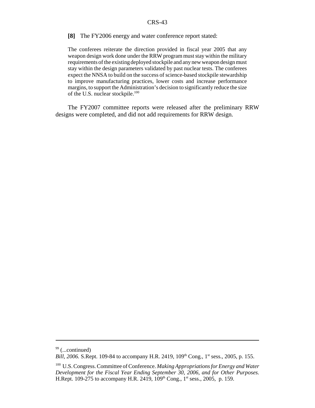#### **[8]** The FY2006 energy and water conference report stated:

The conferees reiterate the direction provided in fiscal year 2005 that any weapon design work done under the RRW program must stay within the military requirements of the existing deployed stockpile and any new weapon design must stay within the design parameters validated by past nuclear tests. The conferees expect the NNSA to build on the success of science-based stockpile stewardship to improve manufacturing practices, lower costs and increase performance margins, to support the Administration's decision to significantly reduce the size of the U.S. nuclear stockpile.<sup>100</sup>

The FY2007 committee reports were released after the preliminary RRW designs were completed, and did not add requirements for RRW design.

 $99$  (...continued)

*Bill, 2006.* S.Rept. 109-84 to accompany H.R. 2419, 109<sup>th</sup> Cong., 1<sup>st</sup> sess., 2005, p. 155.

<sup>100</sup> U.S. Congress. Committee of Conference. *Making Appropriations for Energy and Water Development for the Fiscal Year Ending September 30, 2006, and for Other Purposes.* H.Rept. 109-275 to accompany H.R. 2419,  $109<sup>th</sup>$  Cong.,  $1<sup>st</sup>$  sess., 2005, p. 159.